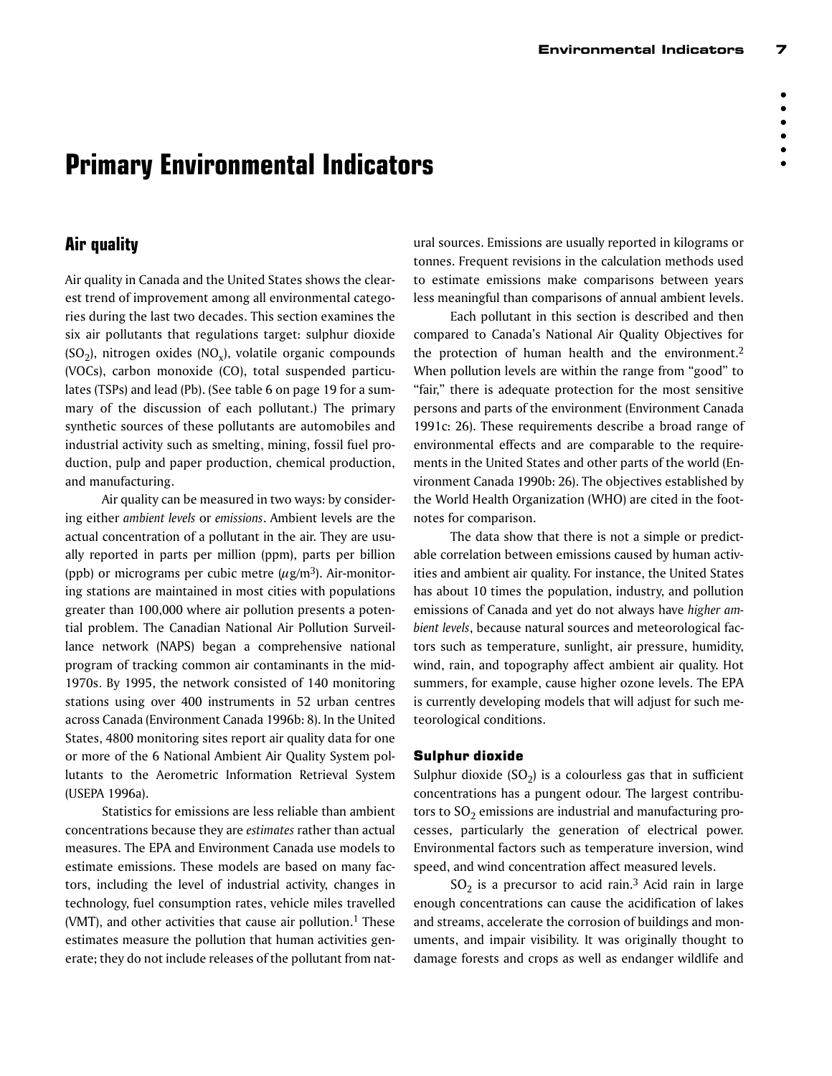# **Primary Environmental Indicators**

# **Air quality**

Air quality in Canada and the United States shows the clearest trend of improvement among all environmental categories during the last two decades. This section examines the six air pollutants that regulations target: sulphur dioxide  $(SO<sub>2</sub>)$ , nitrogen oxides  $(NO<sub>x</sub>)$ , volatile organic compounds (VOCs), carbon monoxide (CO), total suspended particulates (TSPs) and lead (Pb). (See table 6 on page 19 for a summary of the discussion of each pollutant.) The primary synthetic sources of these pollutants are automobiles and industrial activity such as smelting, mining, fossil fuel production, pulp and paper production, chemical production, and manufacturing.

Air quality can be measured in two ways: by considering either *ambient levels* or *emissions*. Ambient levels are the actual concentration of a pollutant in the air. They are usually reported in parts per million (ppm), parts per billion (ppb) or micrograms per cubic metre  $(\mu$ g/m<sup>3</sup>). Air-monitoring stations are maintained in most cities with populations greater than 100,000 where air pollution presents a potential problem. The Canadian National Air Pollution Surveillance network (NAPS) began a comprehensive national program of tracking common air contaminants in the mid-1970s. By 1995, the network consisted of 140 monitoring stations using over 400 instruments in 52 urban centres across Canada (Environment Canada 1996b: 8). In the United States, 4800 monitoring sites report air quality data for one or more of the 6 National Ambient Air Quality System pollutants to the Aerometric Information Retrieval System (USEPA 1996a).

Statistics for emissions are less reliable than ambient concentrations because they are *estimates* rather than actual measures. The EPA and Environment Canada use models to estimate emissions. These models are based on many factors, including the level of industrial activity, changes in technology, fuel consumption rates, vehicle miles travelled (VMT), and other activities that cause air pollution.<sup>1</sup> These estimates measure the pollution that human activities generate; they do not include releases of the pollutant from natural sources. Emissions are usually reported in kilograms or tonnes. Frequent revisions in the calculation methods used to estimate emissions make comparisons between years less meaningful than comparisons of annual ambient levels.

Each pollutant in this section is described and then compared to Canada's National Air Quality Objectives for the protection of human health and the environment.2 When pollution levels are within the range from "good" to "fair," there is adequate protection for the most sensitive persons and parts of the environment (Environment Canada 1991c: 26). These requirements describe a broad range of environmental effects and are comparable to the requirements in the United States and other parts of the world (Environment Canada 1990b: 26). The objectives established by the World Health Organization (WHO) are cited in the footnotes for comparison.

The data show that there is not a simple or predictable correlation between emissions caused by human activities and ambient air quality. For instance, the United States has about 10 times the population, industry, and pollution emissions of Canada and yet do not always have *higher ambient levels*, because natural sources and meteorological factors such as temperature, sunlight, air pressure, humidity, wind, rain, and topography affect ambient air quality. Hot summers, for example, cause higher ozone levels. The EPA is currently developing models that will adjust for such meteorological conditions.

# Sulphur dioxide

Sulphur dioxide  $(SO<sub>2</sub>)$  is a colourless gas that in sufficient concentrations has a pungent odour. The largest contributors to  $SO<sub>2</sub>$  emissions are industrial and manufacturing processes, particularly the generation of electrical power. Environmental factors such as temperature inversion, wind speed, and wind concentration affect measured levels.

 $SO<sub>2</sub>$  is a precursor to acid rain.<sup>3</sup> Acid rain in large enough concentrations can cause the acidification of lakes and streams, accelerate the corrosion of buildings and monuments, and impair visibility. It was originally thought to damage forests and crops as well as endanger wildlife and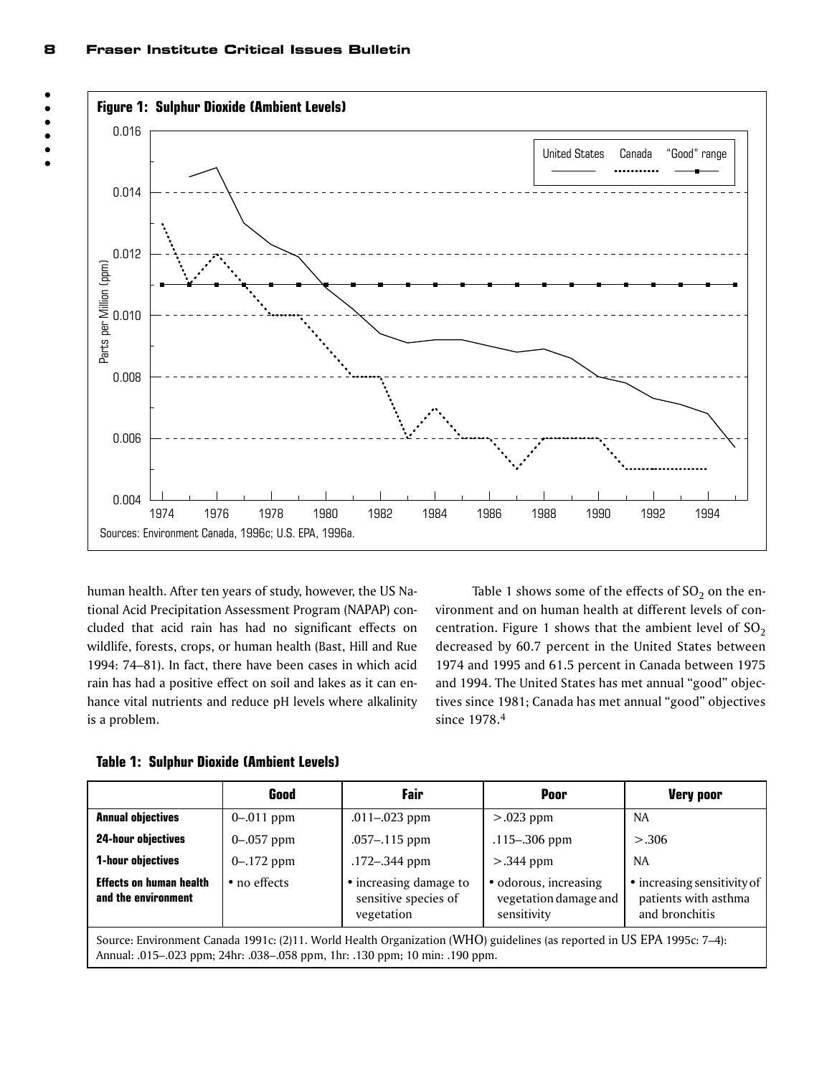



human health. After ten years of study, however, the US National Acid Precipitation Assessment Program (NAPAP) concluded that acid rain has had no significant effects on wildlife, forests, crops, or human health (Bast, Hill and Rue 1994: 74–81). In fact, there have been cases in which acid rain has had a positive effect on soil and lakes as it can enhance vital nutrients and reduce pH levels where alkalinity is a problem.

Table 1 shows some of the effects of  $SO<sub>2</sub>$  on the environment and on human health at different levels of concentration. Figure 1 shows that the ambient level of  $SO_2$ decreased by 60.7 percent in the United States between 1974 and 1995 and 61.5 percent in Canada between 1975 and 1994. The United States has met annual "good" objectives since 1981; Canada has met annual "good" objectives since 1978.4

**Table 1: Sulphur Dioxide (Ambient Levels)**

|                                                                                                                                                                                                                                                                                 | Good          | Fair              | Poor              | <b>Very poor</b> |  |
|---------------------------------------------------------------------------------------------------------------------------------------------------------------------------------------------------------------------------------------------------------------------------------|---------------|-------------------|-------------------|------------------|--|
| <b>Annual objectives</b>                                                                                                                                                                                                                                                        | $0 - 011$ ppm | $.011 - .023$ ppm | $> 0.023$ ppm     | <b>NA</b>        |  |
| <b>24-hour objectives</b>                                                                                                                                                                                                                                                       | $0 - 057$ ppm | $.057 - .115$ ppm | $.115 - .306$ ppm | > 0.306          |  |
| 1-hour objectives                                                                                                                                                                                                                                                               | $0 - 172$ ppm | .172-.344 ppm     | $>$ .344 ppm      | <b>NA</b>        |  |
| <b>Effects on human health</b><br>• increasing damage to<br>• increasing sensitivity of<br>• odorous, increasing<br>• no effects<br>and the environment<br>sensitive species of<br>patients with asthma<br>vegetation damage and<br>sensitivity<br>and bronchitis<br>vegetation |               |                   |                   |                  |  |
| Source: Environment Canada 1991c: (2)11. World Health Organization (WHO) guidelines (as reported in US EPA 1995c: 7-4):<br>Annual: .015–.023 ppm; 24hr: .038–.058 ppm, 1hr: .130 ppm; 10 min: .190 ppm.                                                                         |               |                   |                   |                  |  |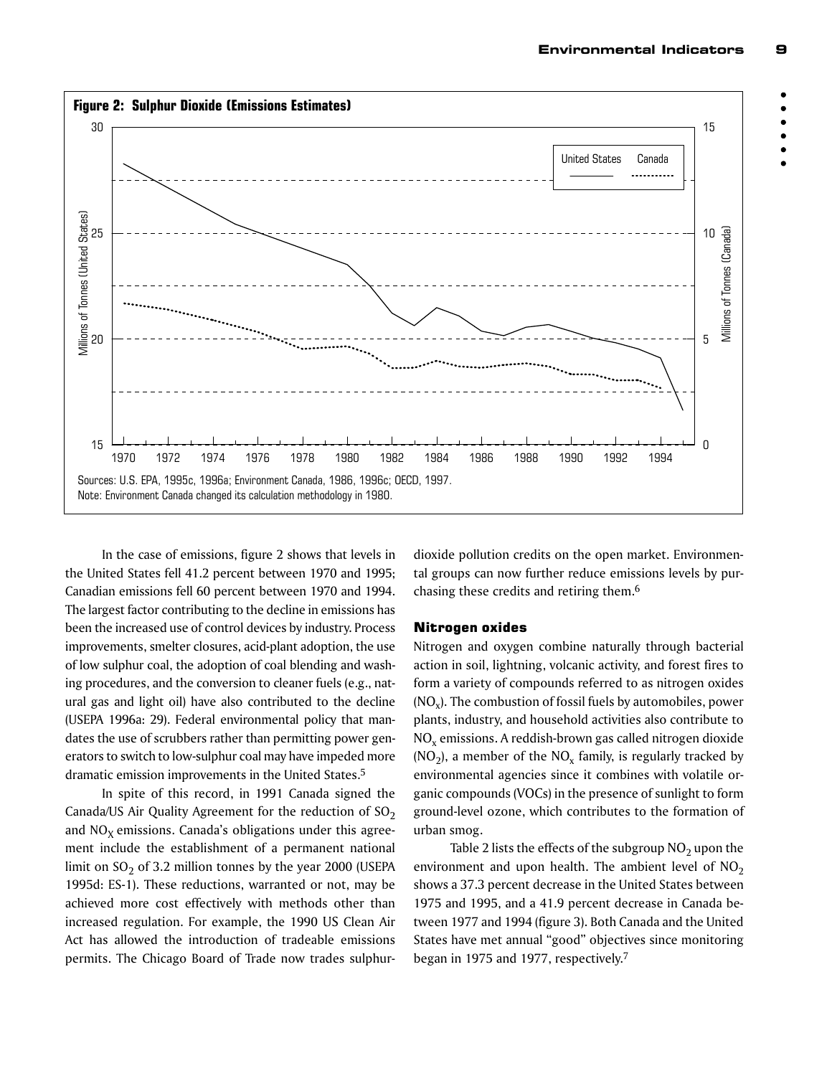



In the case of emissions, figure 2 shows that levels in the United States fell 41.2 percent between 1970 and 1995; Canadian emissions fell 60 percent between 1970 and 1994. The largest factor contributing to the decline in emissions has been the increased use of control devices by industry. Process improvements, smelter closures, acid-plant adoption, the use of low sulphur coal, the adoption of coal blending and washing procedures, and the conversion to cleaner fuels (e.g., natural gas and light oil) have also contributed to the decline (USEPA 1996a: 29). Federal environmental policy that mandates the use of scrubbers rather than permitting power generators to switch to low-sulphur coal may have impeded more dramatic emission improvements in the United States.5

In spite of this record, in 1991 Canada signed the Canada/US Air Quality Agreement for the reduction of  $SO<sub>2</sub>$ and  $NO<sub>x</sub>$  emissions. Canada's obligations under this agreement include the establishment of a permanent national limit on  $SO<sub>2</sub>$  of 3.2 million tonnes by the year 2000 (USEPA 1995d: ES-1). These reductions, warranted or not, may be achieved more cost effectively with methods other than increased regulation. For example, the 1990 US Clean Air Act has allowed the introduction of tradeable emissions permits. The Chicago Board of Trade now trades sulphurdioxide pollution credits on the open market. Environmental groups can now further reduce emissions levels by purchasing these credits and retiring them.6

#### Nitrogen oxides

Nitrogen and oxygen combine naturally through bacterial action in soil, lightning, volcanic activity, and forest fires to form a variety of compounds referred to as nitrogen oxides  $(NO<sub>x</sub>)$ . The combustion of fossil fuels by automobiles, power plants, industry, and household activities also contribute to  $NO<sub>x</sub>$  emissions. A reddish-brown gas called nitrogen dioxide  $(NO<sub>2</sub>)$ , a member of the  $NO<sub>x</sub>$  family, is regularly tracked by environmental agencies since it combines with volatile organic compounds (VOCs) in the presence of sunlight to form ground-level ozone, which contributes to the formation of urban smog.

Table 2 lists the effects of the subgroup  $NO<sub>2</sub>$  upon the environment and upon health. The ambient level of  $NO<sub>2</sub>$ shows a 37.3 percent decrease in the United States between 1975 and 1995, and a 41.9 percent decrease in Canada between 1977 and 1994 (figure 3). Both Canada and the United States have met annual "good" objectives since monitoring began in 1975 and 1977, respectively.7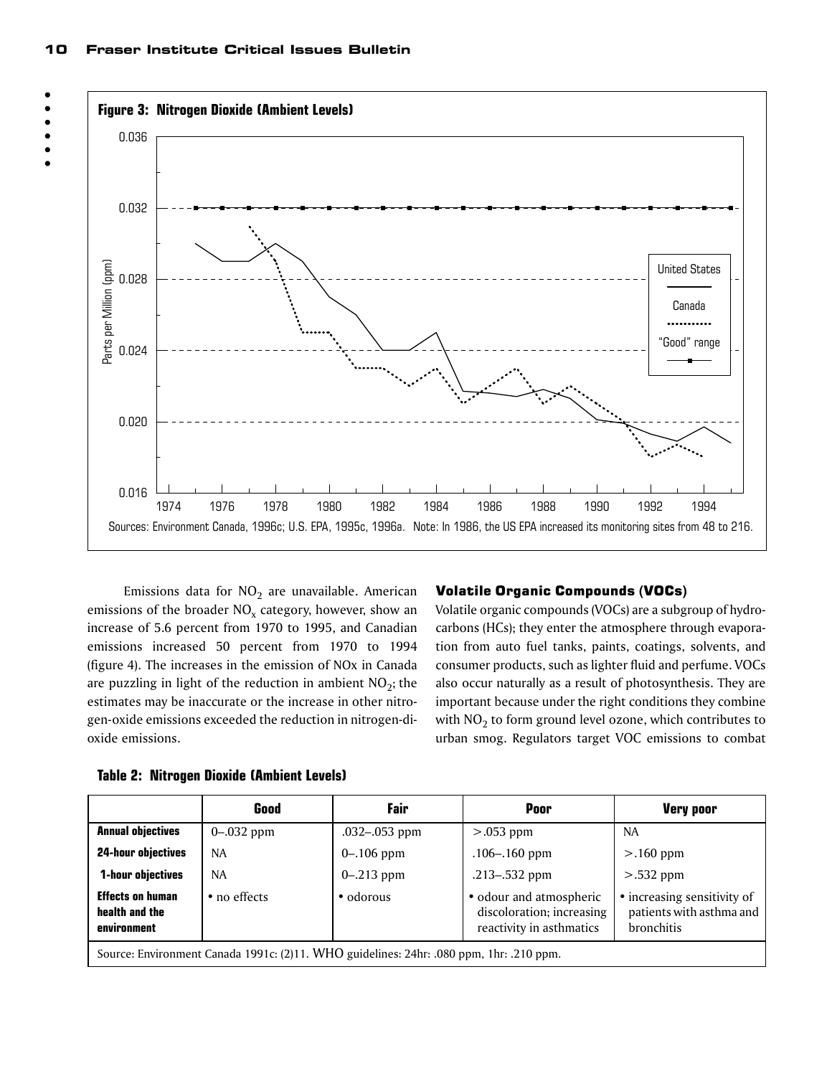

Emissions data for  $NO<sub>2</sub>$  are unavailable. American emissions of the broader  $NO<sub>x</sub>$  category, however, show an increase of 5.6 percent from 1970 to 1995, and Canadian emissions increased 50 percent from 1970 to 1994 (figure 4). The increases in the emission of NOx in Canada are puzzling in light of the reduction in ambient  $NO<sub>2</sub>$ ; the estimates may be inaccurate or the increase in other nitrogen-oxide emissions exceeded the reduction in nitrogen-dioxide emissions.

#### Volatile Organic Compounds (VOCs)

Volatile organic compounds (VOCs) are a subgroup of hydrocarbons (HCs); they enter the atmosphere through evaporation from auto fuel tanks, paints, coatings, solvents, and consumer products, such as lighter fluid and perfume. VOCs also occur naturally as a result of photosynthesis. They are important because under the right conditions they combine with  $NO<sub>2</sub>$  to form ground level ozone, which contributes to urban smog. Regulators target VOC emissions to combat

|                                                                                         | Good           | Fair          | Poor                                                                             | <b>Very poor</b>                                                      |
|-----------------------------------------------------------------------------------------|----------------|---------------|----------------------------------------------------------------------------------|-----------------------------------------------------------------------|
| <b>Annual objectives</b>                                                                | $0 - .032$ ppm | .032-.053 ppm | $> 0.053$ ppm                                                                    | NA.                                                                   |
| <b>24-hour objectives</b>                                                               | <b>NA</b>      | $0 - 106$ ppm | $.106 - .160$ ppm                                                                | $>160$ ppm                                                            |
| 1-hour objectives                                                                       | <b>NA</b>      | $0 - 213$ ppm | .213–.532 ppm                                                                    | $> 0.532$ ppm                                                         |
| <b>Effects on human</b><br>health and the<br>environment                                | • no effects   | • odorous     | · odour and atmospheric<br>discoloration; increasing<br>reactivity in asthmatics | • increasing sensitivity of<br>patients with asthma and<br>bronchitis |
| Source: Environment Canada 1991c: (2)11. WHO guidelines: 24hr: .080 ppm, 1hr: .210 ppm. |                |               |                                                                                  |                                                                       |

**Table 2: Nitrogen Dioxide (Ambient Levels)**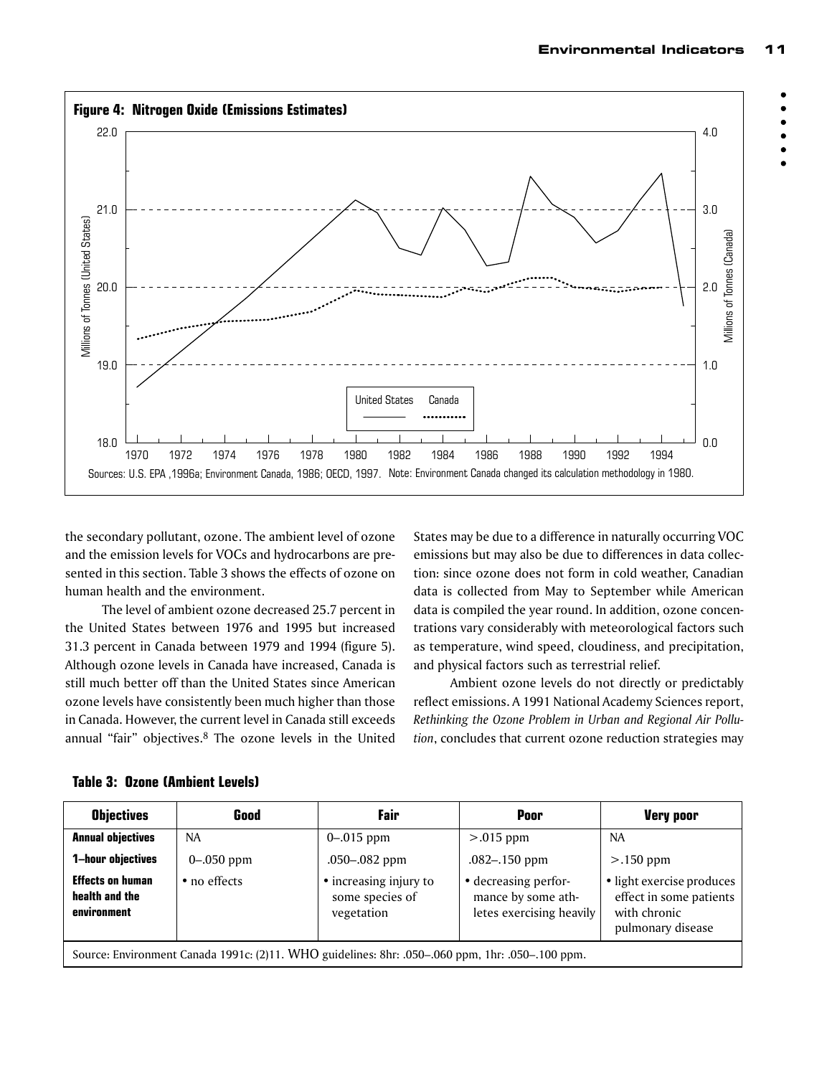

the secondary pollutant, ozone. The ambient level of ozone and the emission levels for VOCs and hydrocarbons are presented in this section. Table 3 shows the effects of ozone on human health and the environment.

The level of ambient ozone decreased 25.7 percent in the United States between 1976 and 1995 but increased 31.3 percent in Canada between 1979 and 1994 (figure 5). Although ozone levels in Canada have increased, Canada is still much better off than the United States since American ozone levels have consistently been much higher than those in Canada. However, the current level in Canada still exceeds annual "fair" objectives.<sup>8</sup> The ozone levels in the United

States may be due to a difference in naturally occurring VOC emissions but may also be due to differences in data collection: since ozone does not form in cold weather, Canadian data is collected from May to September while American data is compiled the year round. In addition, ozone concentrations vary considerably with meteorological factors such as temperature, wind speed, cloudiness, and precipitation, and physical factors such as terrestrial relief.

Ambient ozone levels do not directly or predictably reflect emissions. A 1991 National Academy Sciences report, *Rethinking the Ozone Problem in Urban and Regional Air Pollution*, concludes that current ozone reduction strategies may

| <b>Objectives</b>                                                                                | Good           | Fair                                                    | Poor                                                                   | <b>Very poor</b>                                                                          |
|--------------------------------------------------------------------------------------------------|----------------|---------------------------------------------------------|------------------------------------------------------------------------|-------------------------------------------------------------------------------------------|
| <b>Annual objectives</b>                                                                         | NA.            | $0 - 015$ ppm                                           | $> 0.015$ ppm                                                          | NA                                                                                        |
| 1-hour objectives                                                                                | $0 - .050$ ppm | .050-.082 ppm                                           | $.082 - .150$ ppm                                                      | $> 0.150$ ppm                                                                             |
| <b>Effects on human</b><br>health and the<br>environment                                         | • no effects   | • increasing injury to<br>some species of<br>vegetation | • decreasing perfor-<br>mance by some ath-<br>letes exercising heavily | · light exercise produces<br>effect in some patients<br>with chronic<br>pulmonary disease |
| Source: Environment Canada 1991c: (2)11. WHO guidelines: 8hr: .050-.060 ppm, 1hr: .050-.100 ppm. |                |                                                         |                                                                        |                                                                                           |

#### **Table 3: Ozone (Ambient Levels)**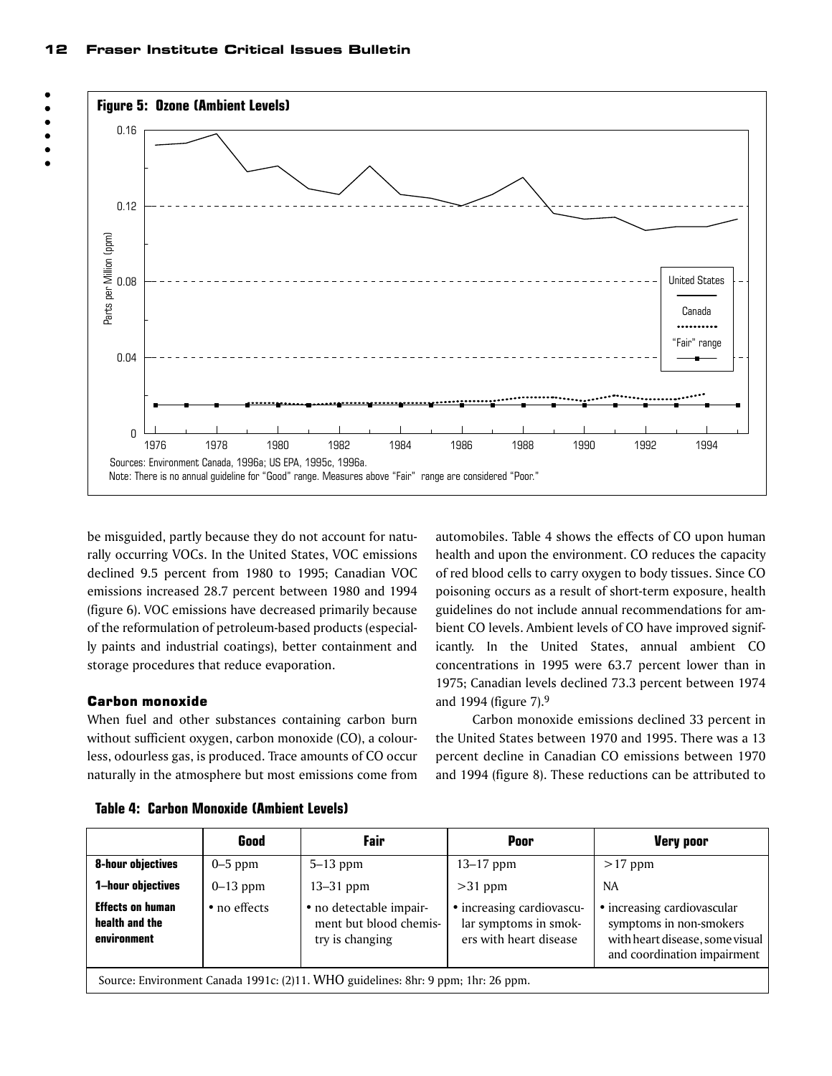



be misguided, partly because they do not account for naturally occurring VOCs. In the United States, VOC emissions declined 9.5 percent from 1980 to 1995; Canadian VOC emissions increased 28.7 percent between 1980 and 1994 (figure 6). VOC emissions have decreased primarily because of the reformulation of petroleum-based products (especially paints and industrial coatings), better containment and storage procedures that reduce evaporation.

#### Carbon monoxide

When fuel and other substances containing carbon burn without sufficient oxygen, carbon monoxide (CO), a colourless, odourless gas, is produced. Trace amounts of CO occur naturally in the atmosphere but most emissions come from

automobiles. Table 4 shows the effects of CO upon human health and upon the environment. CO reduces the capacity of red blood cells to carry oxygen to body tissues. Since CO poisoning occurs as a result of short-term exposure, health guidelines do not include annual recommendations for ambient CO levels. Ambient levels of CO have improved significantly. In the United States, annual ambient CO concentrations in 1995 were 63.7 percent lower than in 1975; Canadian levels declined 73.3 percent between 1974 and 1994 (figure 7).9

Carbon monoxide emissions declined 33 percent in the United States between 1970 and 1995. There was a 13 percent decline in Canadian CO emissions between 1970 and 1994 (figure 8). These reductions can be attributed to

|                                                                                   | Good         | Fair                                                                 | Poor                                                                         | <b>Very poor</b>                                                                                                         |  |
|-----------------------------------------------------------------------------------|--------------|----------------------------------------------------------------------|------------------------------------------------------------------------------|--------------------------------------------------------------------------------------------------------------------------|--|
| <b>8-hour objectives</b>                                                          | $0-5$ ppm    | $5-13$ ppm                                                           | $13 - 17$ ppm                                                                | $>17$ ppm                                                                                                                |  |
| 1-hour objectives                                                                 | $0-13$ ppm   | $13-31$ ppm                                                          | $>31$ ppm                                                                    | NA.                                                                                                                      |  |
| <b>Effects on human</b><br>health and the<br>environment                          | • no effects | · no detectable impair-<br>ment but blood chemis-<br>try is changing | • increasing cardiovascu-<br>lar symptoms in smok-<br>ers with heart disease | • increasing cardiovascular<br>symptoms in non-smokers<br>with heart disease, some visual<br>and coordination impairment |  |
| Source: Environment Canada 1991c: (2)11. WHO guidelines: 8hr: 9 ppm; 1hr: 26 ppm. |              |                                                                      |                                                                              |                                                                                                                          |  |

**Table 4: Carbon Monoxide (Ambient Levels)**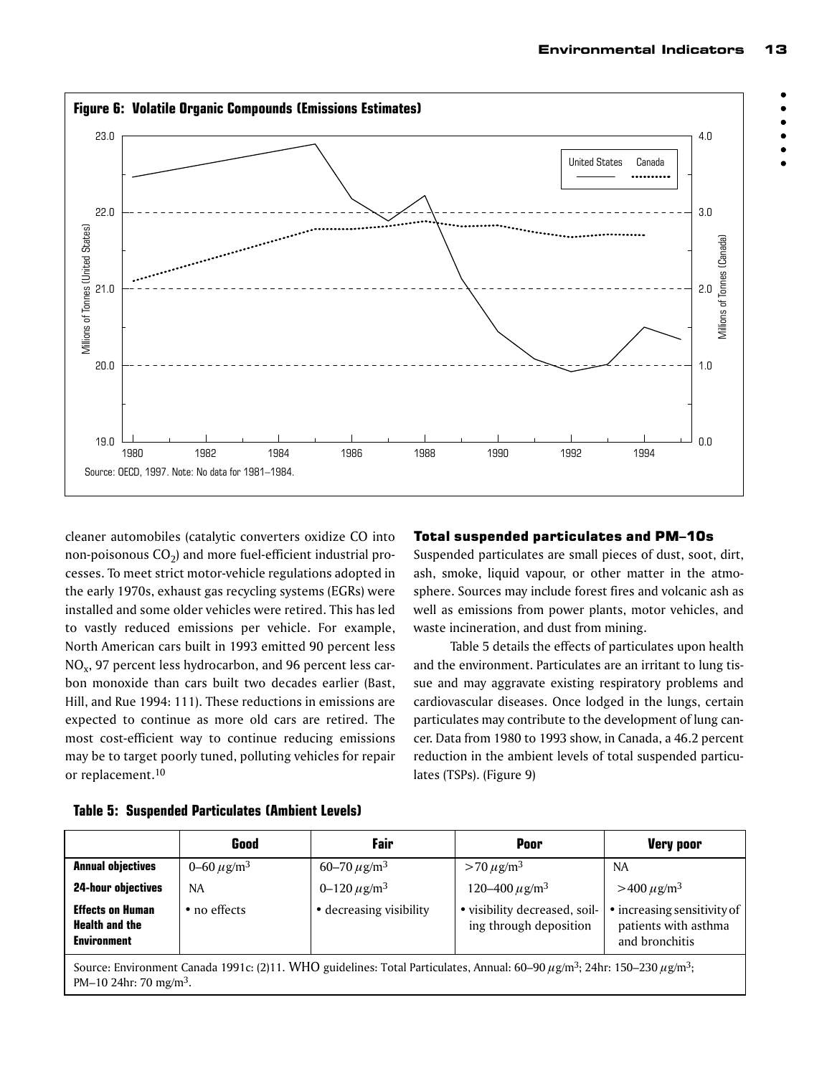



cleaner automobiles (catalytic converters oxidize CO into non-poisonous  $CO<sub>2</sub>$ ) and more fuel-efficient industrial processes. To meet strict motor-vehicle regulations adopted in the early 1970s, exhaust gas recycling systems (EGRs) were installed and some older vehicles were retired. This has led to vastly reduced emissions per vehicle. For example, North American cars built in 1993 emitted 90 percent less NOx, 97 percent less hydrocarbon, and 96 percent less carbon monoxide than cars built two decades earlier (Bast, Hill, and Rue 1994: 111). These reductions in emissions are expected to continue as more old cars are retired. The most cost-efficient way to continue reducing emissions may be to target poorly tuned, polluting vehicles for repair or replacement.<sup>10</sup>

# Total suspended particulates and PM–10s

Suspended particulates are small pieces of dust, soot, dirt, ash, smoke, liquid vapour, or other matter in the atmosphere. Sources may include forest fires and volcanic ash as well as emissions from power plants, motor vehicles, and waste incineration, and dust from mining.

Table 5 details the effects of particulates upon health and the environment. Particulates are an irritant to lung tissue and may aggravate existing respiratory problems and cardiovascular diseases. Once lodged in the lungs, certain particulates may contribute to the development of lung cancer. Data from 1980 to 1993 show, in Canada, a 46.2 percent reduction in the ambient levels of total suspended particulates (TSPs). (Figure 9)

|                                                                                                                                                            | Good                        | Fair                         | Poor                                                    | <b>Very poor</b>                                                      |  |
|------------------------------------------------------------------------------------------------------------------------------------------------------------|-----------------------------|------------------------------|---------------------------------------------------------|-----------------------------------------------------------------------|--|
| <b>Annual objectives</b>                                                                                                                                   | 0–60 $\mu$ g/m <sup>3</sup> | 60-70 $\mu$ g/m <sup>3</sup> | $> 70 \,\mu g/m^3$                                      | <b>NA</b>                                                             |  |
| <b>24-hour objectives</b>                                                                                                                                  | NA                          | 0–120 $\mu$ g/m <sup>3</sup> | 120–400 $\mu$ g/m <sup>3</sup>                          | $>400 \mu g/m^3$                                                      |  |
| <b>Effects on Human</b><br><b>Health and the</b><br><b>Environment</b>                                                                                     | • no effects                | • decreasing visibility      | • visibility decreased, soil-<br>ing through deposition | • increasing sensitivity of<br>patients with asthma<br>and bronchitis |  |
| Source: Environment Canada 1991c: (2)11. WHO guidelines: Total Particulates, Annual: 60–90 $\mu$ g/m <sup>3</sup> ; 24hr: 150–230 $\mu$ g/m <sup>3</sup> ; |                             |                              |                                                         |                                                                       |  |

# **Table 5: Suspended Particulates (Ambient Levels)**

PM–10 24hr: 70 mg/m3.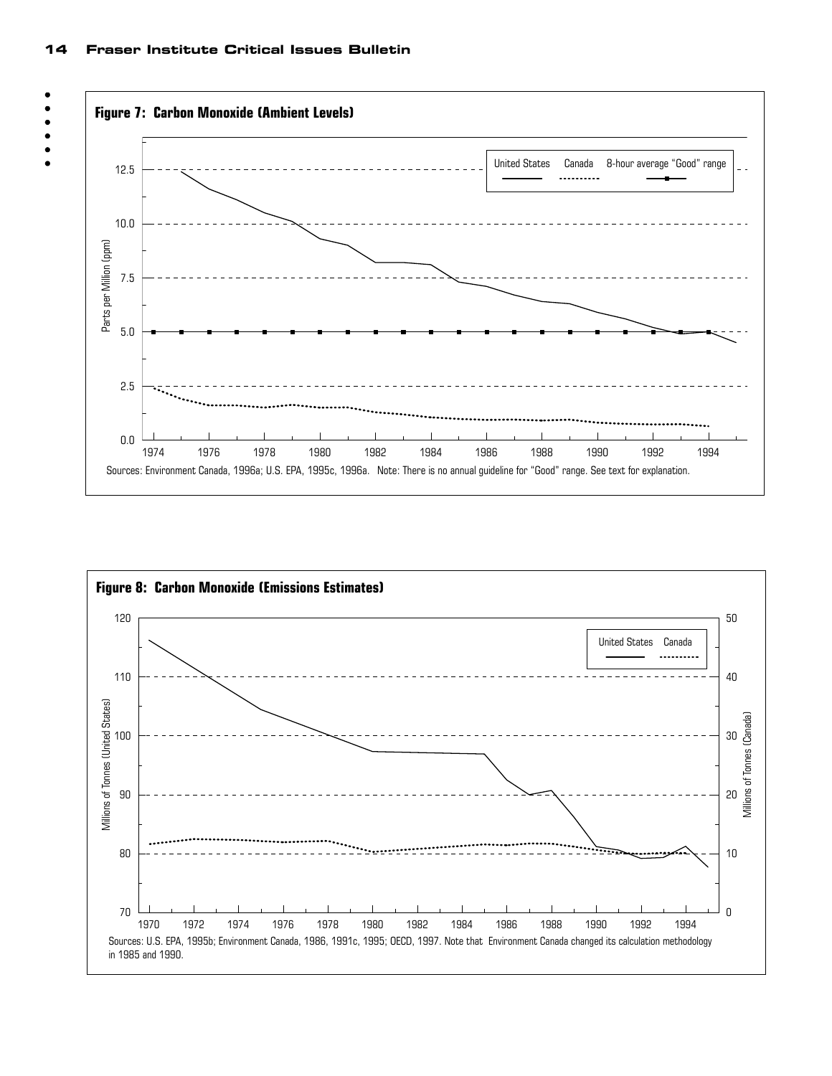14 Fraser Institute Critical Issues Bulletin

 $\bullet$  $\bullet$  $\bullet$  $\bullet$ 



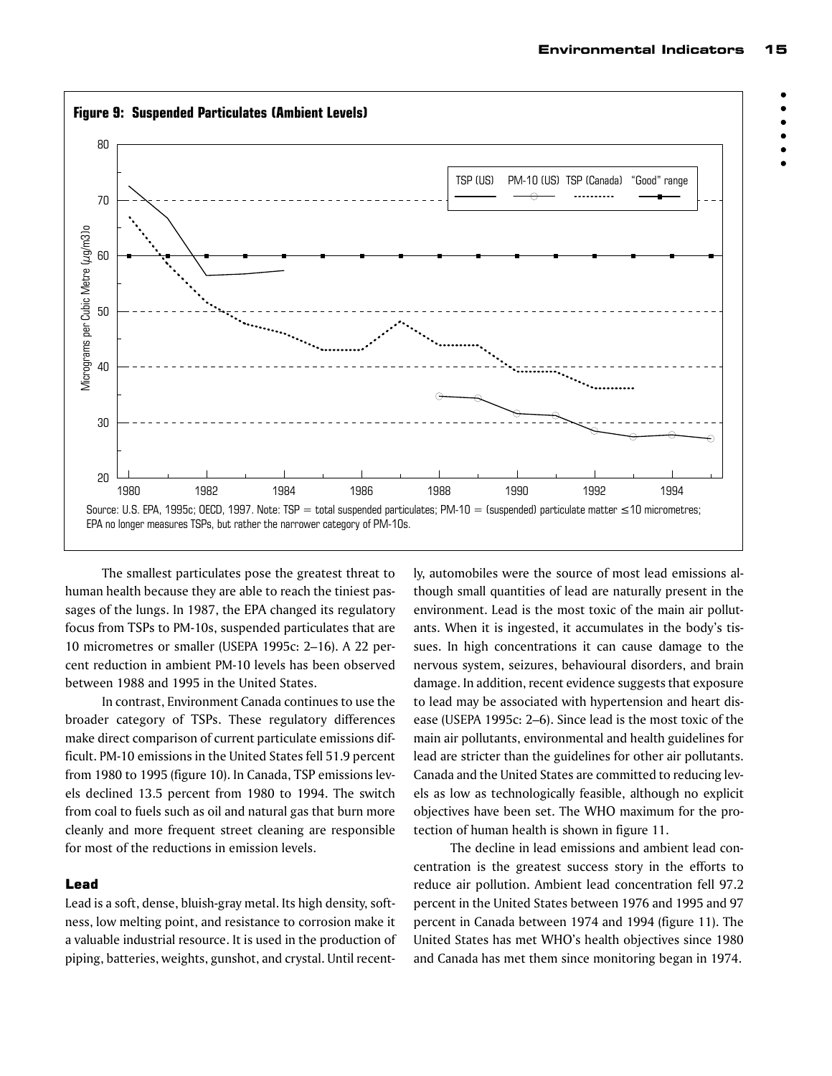$\bullet$  $\bullet$  $\bullet$  $\bullet$ 



The smallest particulates pose the greatest threat to human health because they are able to reach the tiniest passages of the lungs. In 1987, the EPA changed its regulatory focus from TSPs to PM-10s, suspended particulates that are 10 micrometres or smaller (USEPA 1995c: 2–16). A 22 percent reduction in ambient PM-10 levels has been observed between 1988 and 1995 in the United States.

In contrast, Environment Canada continues to use the broader category of TSPs. These regulatory differences make direct comparison of current particulate emissions difficult. PM-10 emissions in the United States fell 51.9 percent from 1980 to 1995 (figure 10). In Canada, TSP emissions levels declined 13.5 percent from 1980 to 1994. The switch from coal to fuels such as oil and natural gas that burn more cleanly and more frequent street cleaning are responsible for most of the reductions in emission levels.

#### Lead

Lead is a soft, dense, bluish-gray metal. Its high density, softness, low melting point, and resistance to corrosion make it a valuable industrial resource. It is used in the production of piping, batteries, weights, gunshot, and crystal. Until recently, automobiles were the source of most lead emissions although small quantities of lead are naturally present in the environment. Lead is the most toxic of the main air pollutants. When it is ingested, it accumulates in the body's tissues. In high concentrations it can cause damage to the nervous system, seizures, behavioural disorders, and brain damage. In addition, recent evidence suggests that exposure to lead may be associated with hypertension and heart disease (USEPA 1995c: 2–6). Since lead is the most toxic of the main air pollutants, environmental and health guidelines for lead are stricter than the guidelines for other air pollutants. Canada and the United States are committed to reducing levels as low as technologically feasible, although no explicit objectives have been set. The WHO maximum for the protection of human health is shown in figure 11.

The decline in lead emissions and ambient lead concentration is the greatest success story in the efforts to reduce air pollution. Ambient lead concentration fell 97.2 percent in the United States between 1976 and 1995 and 97 percent in Canada between 1974 and 1994 (figure 11). The United States has met WHO's health objectives since 1980 and Canada has met them since monitoring began in 1974.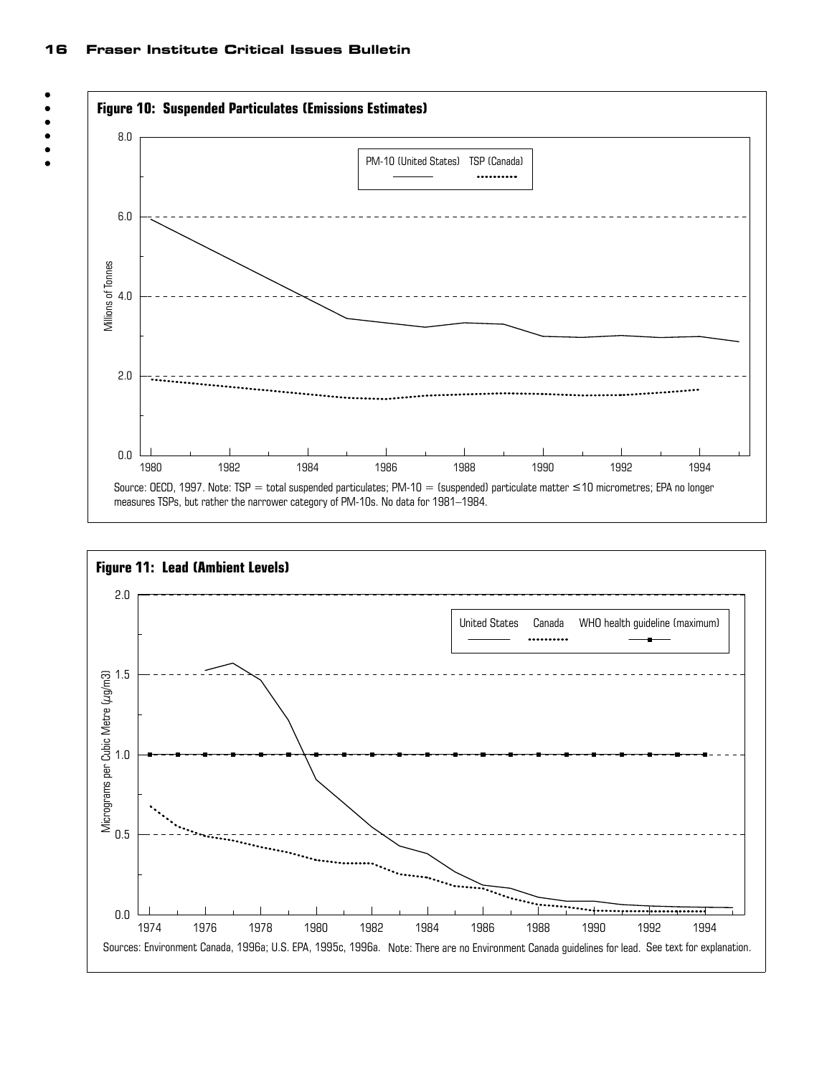

 $\bullet$  $\bullet$ 



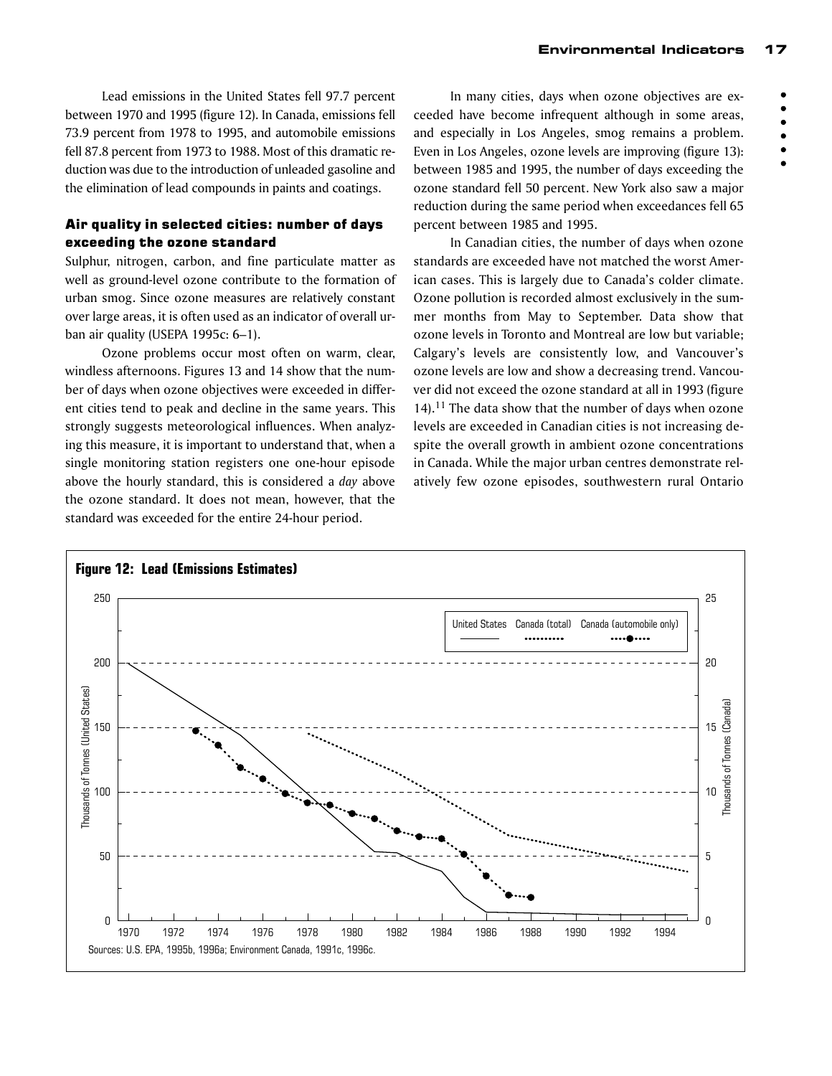$\bullet$  $\bullet$ 

 $\bullet$ 

Lead emissions in the United States fell 97.7 percent between 1970 and 1995 (figure 12). In Canada, emissions fell 73.9 percent from 1978 to 1995, and automobile emissions fell 87.8 percent from 1973 to 1988. Most of this dramatic reduction was due to the introduction of unleaded gasoline and the elimination of lead compounds in paints and coatings.

# Air quality in selected cities: number of days exceeding the ozone standard

Sulphur, nitrogen, carbon, and fine particulate matter as well as ground-level ozone contribute to the formation of urban smog. Since ozone measures are relatively constant over large areas, it is often used as an indicator of overall urban air quality (USEPA 1995c: 6–1).

Ozone problems occur most often on warm, clear, windless afternoons. Figures 13 and 14 show that the number of days when ozone objectives were exceeded in different cities tend to peak and decline in the same years. This strongly suggests meteorological influences. When analyzing this measure, it is important to understand that, when a single monitoring station registers one one-hour episode above the hourly standard, this is considered a *day* above the ozone standard. It does not mean, however, that the standard was exceeded for the entire 24-hour period.

In many cities, days when ozone objectives are exceeded have become infrequent although in some areas, and especially in Los Angeles, smog remains a problem. Even in Los Angeles, ozone levels are improving (figure 13): between 1985 and 1995, the number of days exceeding the ozone standard fell 50 percent. New York also saw a major reduction during the same period when exceedances fell 65 percent between 1985 and 1995.

In Canadian cities, the number of days when ozone standards are exceeded have not matched the worst American cases. This is largely due to Canada's colder climate. Ozone pollution is recorded almost exclusively in the summer months from May to September. Data show that ozone levels in Toronto and Montreal are low but variable; Calgary's levels are consistently low, and Vancouver's ozone levels are low and show a decreasing trend. Vancouver did not exceed the ozone standard at all in 1993 (figure 14).11 The data show that the number of days when ozone levels are exceeded in Canadian cities is not increasing despite the overall growth in ambient ozone concentrations in Canada. While the major urban centres demonstrate relatively few ozone episodes, southwestern rural Ontario

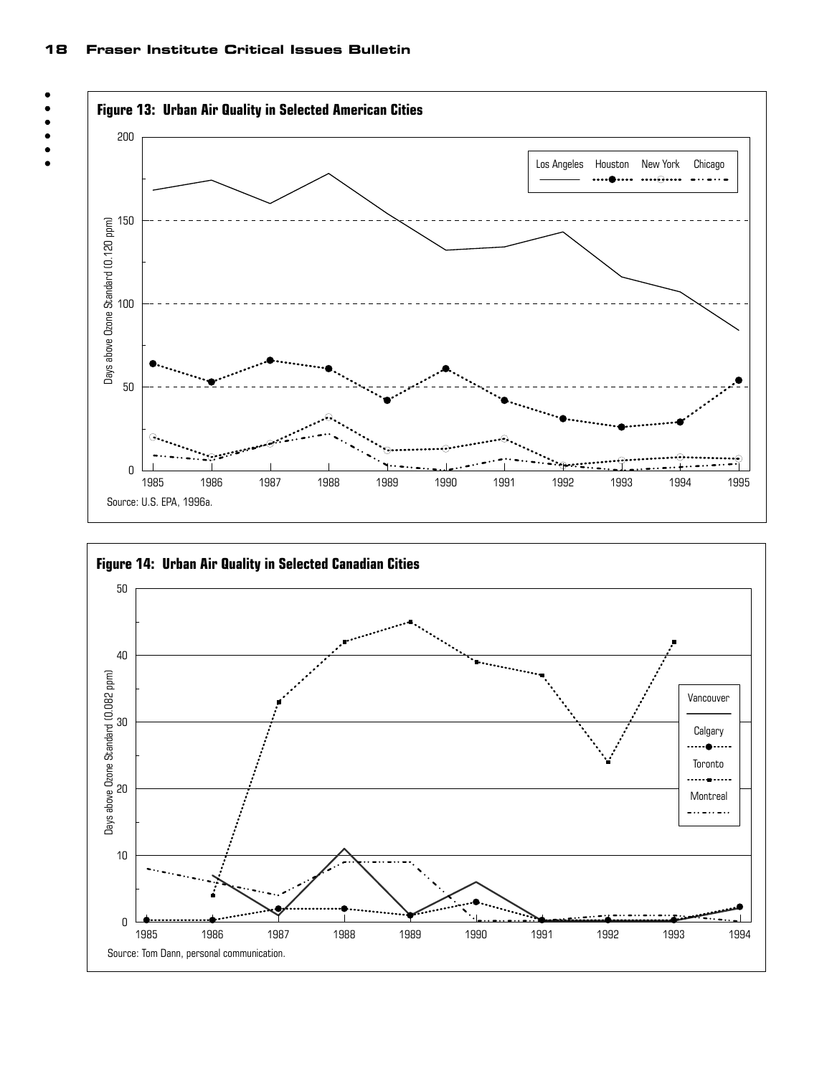

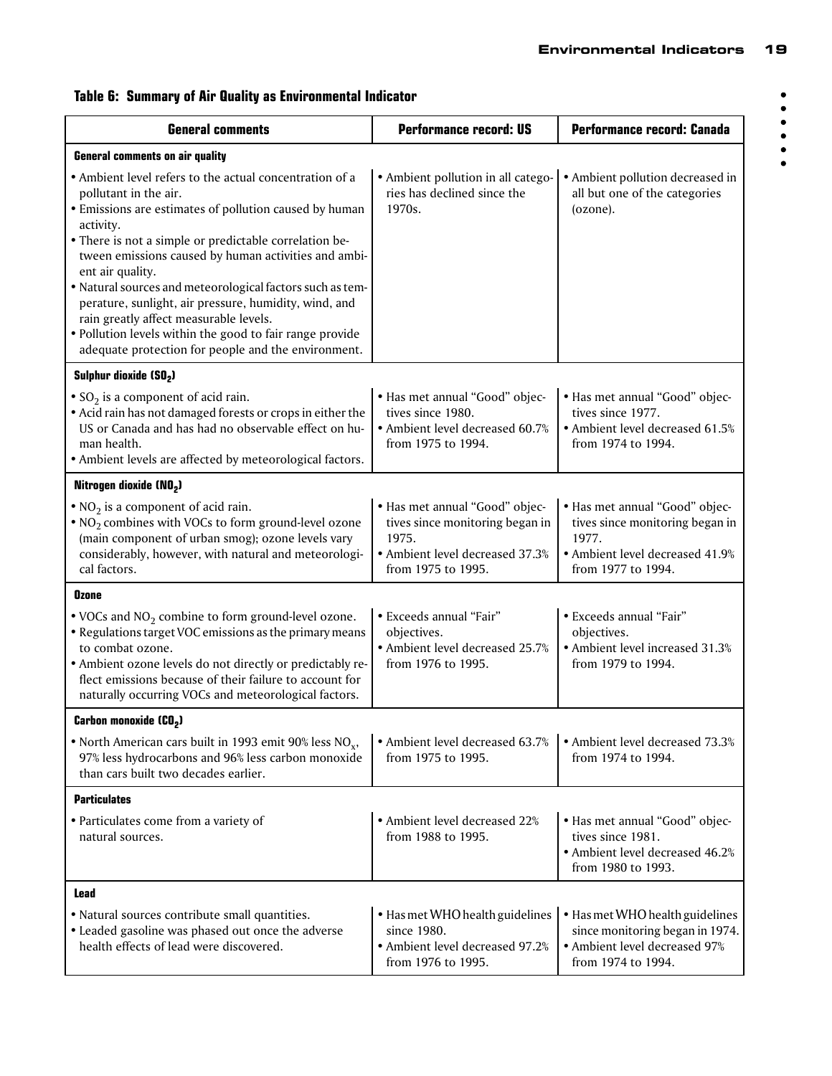| <b>General comments</b>                                                                                                                                                                                                                                                                                                                                                                                                                                                                                                                                                          | <b>Performance record: US</b>                                                                                                       | Performance record: Canada                                                                                                          |  |  |  |  |
|----------------------------------------------------------------------------------------------------------------------------------------------------------------------------------------------------------------------------------------------------------------------------------------------------------------------------------------------------------------------------------------------------------------------------------------------------------------------------------------------------------------------------------------------------------------------------------|-------------------------------------------------------------------------------------------------------------------------------------|-------------------------------------------------------------------------------------------------------------------------------------|--|--|--|--|
| <b>General comments on air quality</b>                                                                                                                                                                                                                                                                                                                                                                                                                                                                                                                                           |                                                                                                                                     |                                                                                                                                     |  |  |  |  |
| • Ambient level refers to the actual concentration of a<br>pollutant in the air.<br>• Emissions are estimates of pollution caused by human<br>activity.<br>• There is not a simple or predictable correlation be-<br>tween emissions caused by human activities and ambi-<br>ent air quality.<br>· Natural sources and meteorological factors such as tem-<br>perature, sunlight, air pressure, humidity, wind, and<br>rain greatly affect measurable levels.<br>• Pollution levels within the good to fair range provide<br>adequate protection for people and the environment. | • Ambient pollution in all catego-<br>ries has declined since the<br>1970s.                                                         | • Ambient pollution decreased in<br>all but one of the categories<br>(ozone).                                                       |  |  |  |  |
| Sulphur dioxide (SO2)                                                                                                                                                                                                                                                                                                                                                                                                                                                                                                                                                            |                                                                                                                                     |                                                                                                                                     |  |  |  |  |
| • $SO_2$ is a component of acid rain.<br>• Acid rain has not damaged forests or crops in either the<br>US or Canada and has had no observable effect on hu-<br>man health.<br>• Ambient levels are affected by meteorological factors.                                                                                                                                                                                                                                                                                                                                           | · Has met annual "Good" objec-<br>tives since 1980.<br>• Ambient level decreased 60.7%<br>from 1975 to 1994.                        | • Has met annual "Good" objec-<br>tives since 1977.<br>• Ambient level decreased 61.5%<br>from 1974 to 1994.                        |  |  |  |  |
| Nitrogen dioxide (NO2)                                                                                                                                                                                                                                                                                                                                                                                                                                                                                                                                                           |                                                                                                                                     |                                                                                                                                     |  |  |  |  |
| $\bullet$ NO <sub>2</sub> is a component of acid rain.<br>$\bullet$ NO <sub>2</sub> combines with VOCs to form ground-level ozone<br>(main component of urban smog); ozone levels vary<br>considerably, however, with natural and meteorologi-<br>cal factors.                                                                                                                                                                                                                                                                                                                   | · Has met annual "Good" objec-<br>tives since monitoring began in<br>1975.<br>• Ambient level decreased 37.3%<br>from 1975 to 1995. | • Has met annual "Good" objec-<br>tives since monitoring began in<br>1977.<br>• Ambient level decreased 41.9%<br>from 1977 to 1994. |  |  |  |  |
| Ozone                                                                                                                                                                                                                                                                                                                                                                                                                                                                                                                                                                            |                                                                                                                                     |                                                                                                                                     |  |  |  |  |
| • VOCs and $NO2$ combine to form ground-level ozone.<br>• Regulations target VOC emissions as the primary means<br>to combat ozone.<br>• Ambient ozone levels do not directly or predictably re-<br>flect emissions because of their failure to account for<br>naturally occurring VOCs and meteorological factors.                                                                                                                                                                                                                                                              | • Exceeds annual "Fair"<br>objectives.<br>• Ambient level decreased 25.7%<br>from 1976 to 1995.                                     | • Exceeds annual "Fair"<br>objectives.<br>• Ambient level increased 31.3%<br>from 1979 to 1994.                                     |  |  |  |  |
| Carbon monoxide (CO <sub>2</sub> )                                                                                                                                                                                                                                                                                                                                                                                                                                                                                                                                               |                                                                                                                                     |                                                                                                                                     |  |  |  |  |
| • North American cars built in 1993 emit 90% less $NOx$ ,<br>97% less hydrocarbons and 96% less carbon monoxide<br>than cars built two decades earlier.                                                                                                                                                                                                                                                                                                                                                                                                                          | • Ambient level decreased 63.7%<br>from 1975 to 1995.                                                                               | • Ambient level decreased 73.3%<br>from 1974 to 1994.                                                                               |  |  |  |  |
| <b>Particulates</b>                                                                                                                                                                                                                                                                                                                                                                                                                                                                                                                                                              |                                                                                                                                     |                                                                                                                                     |  |  |  |  |
| • Particulates come from a variety of<br>natural sources.                                                                                                                                                                                                                                                                                                                                                                                                                                                                                                                        | • Ambient level decreased 22%<br>from 1988 to 1995.                                                                                 | • Has met annual "Good" objec-<br>tives since 1981.<br>• Ambient level decreased 46.2%<br>from 1980 to 1993.                        |  |  |  |  |
| Lead                                                                                                                                                                                                                                                                                                                                                                                                                                                                                                                                                                             |                                                                                                                                     |                                                                                                                                     |  |  |  |  |
| • Natural sources contribute small quantities.<br>• Leaded gasoline was phased out once the adverse<br>health effects of lead were discovered.                                                                                                                                                                                                                                                                                                                                                                                                                                   | • Has met WHO health guidelines<br>since 1980.<br>• Ambient level decreased 97.2%<br>from 1976 to 1995.                             | • Has met WHO health guidelines<br>since monitoring began in 1974.<br>• Ambient level decreased 97%<br>from 1974 to 1994.           |  |  |  |  |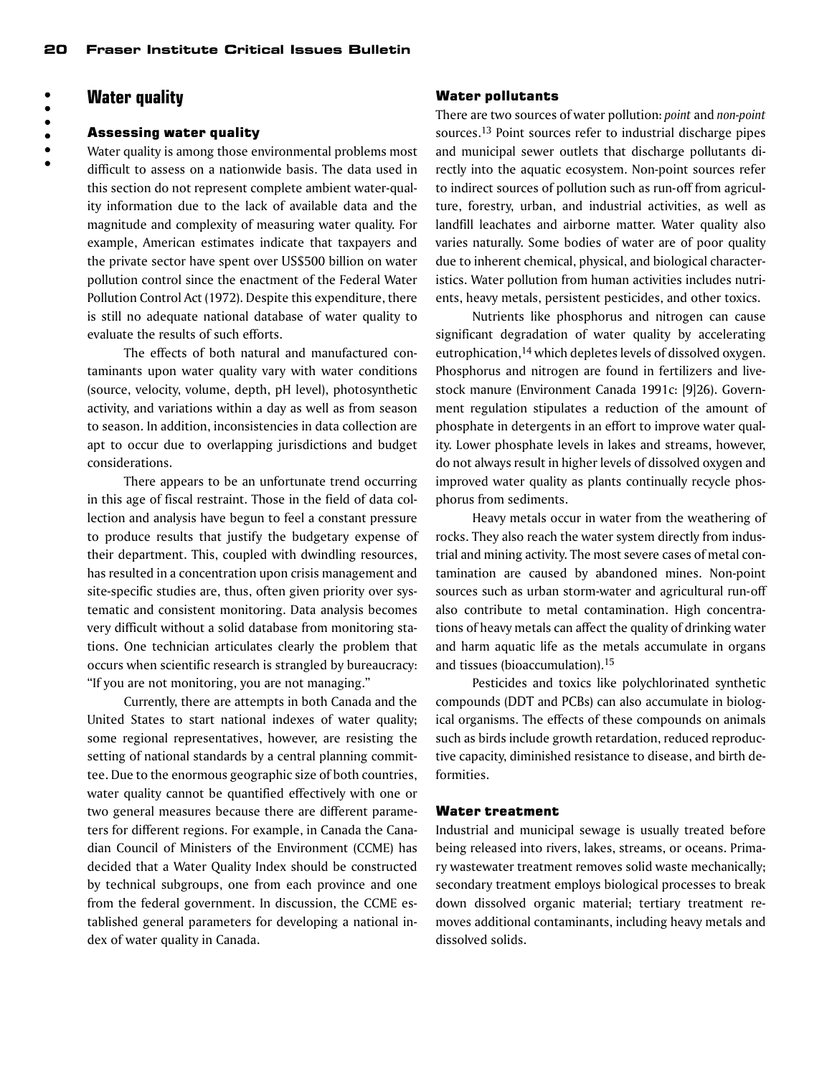# **Water quality**

# 

#### Assessing water quality

Water quality is among those environmental problems most difficult to assess on a nationwide basis. The data used in this section do not represent complete ambient water-quality information due to the lack of available data and the magnitude and complexity of measuring water quality. For example, American estimates indicate that taxpayers and the private sector have spent over US\$500 billion on water pollution control since the enactment of the Federal Water Pollution Control Act (1972). Despite this expenditure, there is still no adequate national database of water quality to evaluate the results of such efforts.

The effects of both natural and manufactured contaminants upon water quality vary with water conditions (source, velocity, volume, depth, pH level), photosynthetic activity, and variations within a day as well as from season to season. In addition, inconsistencies in data collection are apt to occur due to overlapping jurisdictions and budget considerations.

There appears to be an unfortunate trend occurring in this age of fiscal restraint. Those in the field of data collection and analysis have begun to feel a constant pressure to produce results that justify the budgetary expense of their department. This, coupled with dwindling resources, has resulted in a concentration upon crisis management and site-specific studies are, thus, often given priority over systematic and consistent monitoring. Data analysis becomes very difficult without a solid database from monitoring stations. One technician articulates clearly the problem that occurs when scientific research is strangled by bureaucracy: "If you are not monitoring, you are not managing."

Currently, there are attempts in both Canada and the United States to start national indexes of water quality; some regional representatives, however, are resisting the setting of national standards by a central planning committee. Due to the enormous geographic size of both countries, water quality cannot be quantified effectively with one or two general measures because there are different parameters for different regions. For example, in Canada the Canadian Council of Ministers of the Environment (CCME) has decided that a Water Quality Index should be constructed by technical subgroups, one from each province and one from the federal government. In discussion, the CCME established general parameters for developing a national index of water quality in Canada.

#### Water pollutants

There are two sources of water pollution: *point* and *non-point* sources.13 Point sources refer to industrial discharge pipes and municipal sewer outlets that discharge pollutants directly into the aquatic ecosystem. Non-point sources refer to indirect sources of pollution such as run-off from agriculture, forestry, urban, and industrial activities, as well as landfill leachates and airborne matter. Water quality also varies naturally. Some bodies of water are of poor quality due to inherent chemical, physical, and biological characteristics. Water pollution from human activities includes nutrients, heavy metals, persistent pesticides, and other toxics.

Nutrients like phosphorus and nitrogen can cause significant degradation of water quality by accelerating eutrophication,14 which depletes levels of dissolved oxygen. Phosphorus and nitrogen are found in fertilizers and livestock manure (Environment Canada 1991c: [9]26). Government regulation stipulates a reduction of the amount of phosphate in detergents in an effort to improve water quality. Lower phosphate levels in lakes and streams, however, do not always result in higher levels of dissolved oxygen and improved water quality as plants continually recycle phosphorus from sediments.

Heavy metals occur in water from the weathering of rocks. They also reach the water system directly from industrial and mining activity. The most severe cases of metal contamination are caused by abandoned mines. Non-point sources such as urban storm-water and agricultural run-off also contribute to metal contamination. High concentrations of heavy metals can affect the quality of drinking water and harm aquatic life as the metals accumulate in organs and tissues (bioaccumulation).15

Pesticides and toxics like polychlorinated synthetic compounds (DDT and PCBs) can also accumulate in biological organisms. The effects of these compounds on animals such as birds include growth retardation, reduced reproductive capacity, diminished resistance to disease, and birth deformities.

#### Water treatment

Industrial and municipal sewage is usually treated before being released into rivers, lakes, streams, or oceans. Primary wastewater treatment removes solid waste mechanically; secondary treatment employs biological processes to break down dissolved organic material; tertiary treatment removes additional contaminants, including heavy metals and dissolved solids.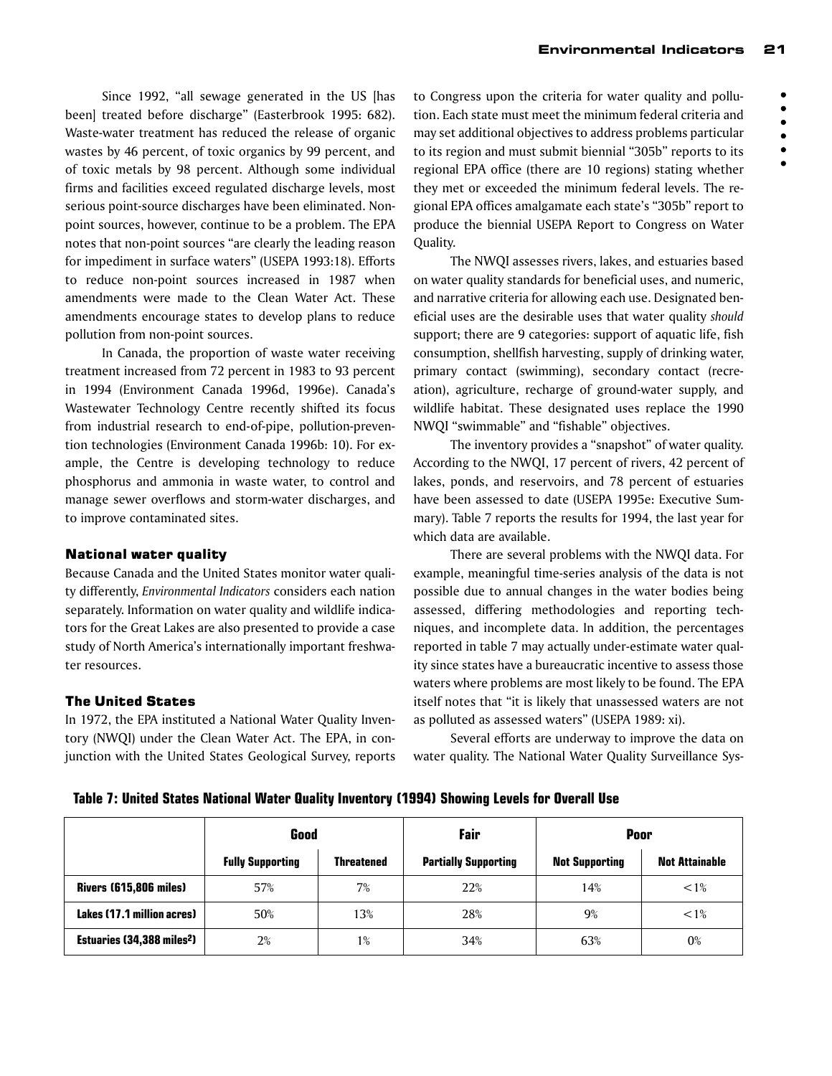$\bullet$ 

Since 1992, "all sewage generated in the US [has been] treated before discharge" (Easterbrook 1995: 682). Waste-water treatment has reduced the release of organic wastes by 46 percent, of toxic organics by 99 percent, and of toxic metals by 98 percent. Although some individual firms and facilities exceed regulated discharge levels, most serious point-source discharges have been eliminated. Nonpoint sources, however, continue to be a problem. The EPA notes that non-point sources "are clearly the leading reason for impediment in surface waters" (USEPA 1993:18). Efforts to reduce non-point sources increased in 1987 when amendments were made to the Clean Water Act. These amendments encourage states to develop plans to reduce pollution from non-point sources.

In Canada, the proportion of waste water receiving treatment increased from 72 percent in 1983 to 93 percent in 1994 (Environment Canada 1996d, 1996e). Canada's Wastewater Technology Centre recently shifted its focus from industrial research to end-of-pipe, pollution-prevention technologies (Environment Canada 1996b: 10). For example, the Centre is developing technology to reduce phosphorus and ammonia in waste water, to control and manage sewer overflows and storm-water discharges, and to improve contaminated sites.

# National water quality

Because Canada and the United States monitor water quality differently, *Environmental Indicators* considers each nation separately. Information on water quality and wildlife indicators for the Great Lakes are also presented to provide a case study of North America's internationally important freshwater resources.

# The United States

In 1972, the EPA instituted a National Water Quality Inventory (NWQI) under the Clean Water Act. The EPA, in conjunction with the United States Geological Survey, reports to Congress upon the criteria for water quality and pollution. Each state must meet the minimum federal criteria and may set additional objectives to address problems particular to its region and must submit biennial "305b" reports to its regional EPA office (there are 10 regions) stating whether they met or exceeded the minimum federal levels. The regional EPA offices amalgamate each state's "305b" report to produce the biennial USEPA Report to Congress on Water Quality.

The NWQI assesses rivers, lakes, and estuaries based on water quality standards for beneficial uses, and numeric, and narrative criteria for allowing each use. Designated beneficial uses are the desirable uses that water quality *should* support; there are 9 categories: support of aquatic life, fish consumption, shellfish harvesting, supply of drinking water, primary contact (swimming), secondary contact (recreation), agriculture, recharge of ground-water supply, and wildlife habitat. These designated uses replace the 1990 NWQI "swimmable" and "fishable" objectives.

The inventory provides a "snapshot" of water quality. According to the NWQI, 17 percent of rivers, 42 percent of lakes, ponds, and reservoirs, and 78 percent of estuaries have been assessed to date (USEPA 1995e: Executive Summary). Table 7 reports the results for 1994, the last year for which data are available.

There are several problems with the NWQI data. For example, meaningful time-series analysis of the data is not possible due to annual changes in the water bodies being assessed, differing methodologies and reporting techniques, and incomplete data. In addition, the percentages reported in table 7 may actually under-estimate water quality since states have a bureaucratic incentive to assess those waters where problems are most likely to be found. The EPA itself notes that "it is likely that unassessed waters are not as polluted as assessed waters" (USEPA 1989: xi).

Several efforts are underway to improve the data on water quality. The National Water Quality Surveillance Sys-

**Table 7: United States National Water Quality Inventory (1994) Showing Levels for Overall Use**

|                                             | Good                    |                   | Fair                        | Poor                  |                       |
|---------------------------------------------|-------------------------|-------------------|-----------------------------|-----------------------|-----------------------|
|                                             | <b>Fully Supporting</b> | <b>Threatened</b> | <b>Partially Supporting</b> | <b>Not Supporting</b> | <b>Not Attainable</b> |
| <b>Rivers (615,806 miles)</b>               | 57%                     | 7%                | 22%                         | 14%                   | $< 1\%$               |
| Lakes (17.1 million acres)                  | 50%                     | 13%               | 28%                         | 9%                    | $< 1\%$               |
| <b>Estuaries (34,388 miles<sup>2</sup>)</b> | 2%                      | $1\%$             | 34%                         | 63%                   | $0\%$                 |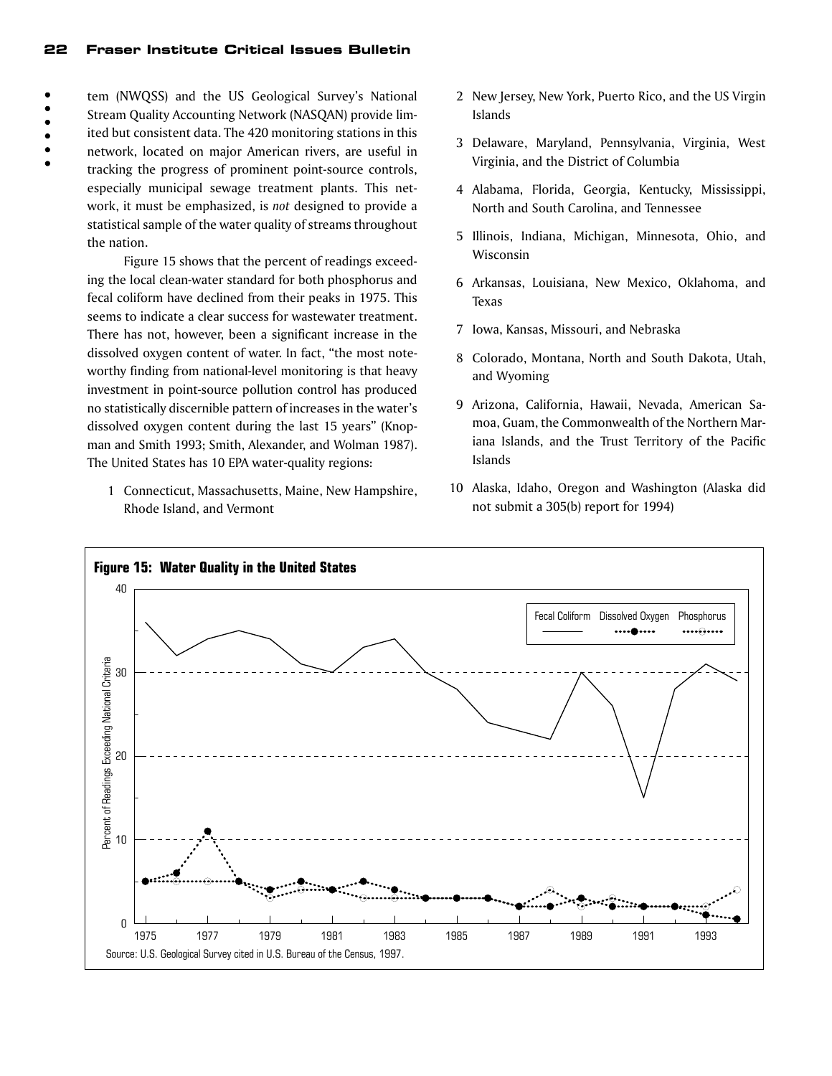$\bullet$  $\bullet$  $\bullet$  $\bullet$  tem (NWQSS) and the US Geological Survey's National Stream Quality Accounting Network (NASQAN) provide limited but consistent data. The 420 monitoring stations in this network, located on major American rivers, are useful in tracking the progress of prominent point-source controls, especially municipal sewage treatment plants. This network, it must be emphasized, is *not* designed to provide a statistical sample of the water quality of streams throughout the nation.

Figure 15 shows that the percent of readings exceeding the local clean-water standard for both phosphorus and fecal coliform have declined from their peaks in 1975. This seems to indicate a clear success for wastewater treatment. There has not, however, been a significant increase in the dissolved oxygen content of water. In fact, "the most noteworthy finding from national-level monitoring is that heavy investment in point-source pollution control has produced no statistically discernible pattern of increases in the water's dissolved oxygen content during the last 15 years" (Knopman and Smith 1993; Smith, Alexander, and Wolman 1987). The United States has 10 EPA water-quality regions:

1 Connecticut, Massachusetts, Maine, New Hampshire, Rhode Island, and Vermont

- 2 New Jersey, New York, Puerto Rico, and the US Virgin Islands
- 3 Delaware, Maryland, Pennsylvania, Virginia, West Virginia, and the District of Columbia
- 4 Alabama, Florida, Georgia, Kentucky, Mississippi, North and South Carolina, and Tennessee
- 5 Illinois, Indiana, Michigan, Minnesota, Ohio, and Wisconsin
- 6 Arkansas, Louisiana, New Mexico, Oklahoma, and Texas
- 7 Iowa, Kansas, Missouri, and Nebraska
- 8 Colorado, Montana, North and South Dakota, Utah, and Wyoming
- 9 Arizona, California, Hawaii, Nevada, American Samoa, Guam, the Commonwealth of the Northern Mariana Islands, and the Trust Territory of the Pacific Islands
- 10 Alaska, Idaho, Oregon and Washington (Alaska did not submit a 305(b) report for 1994)

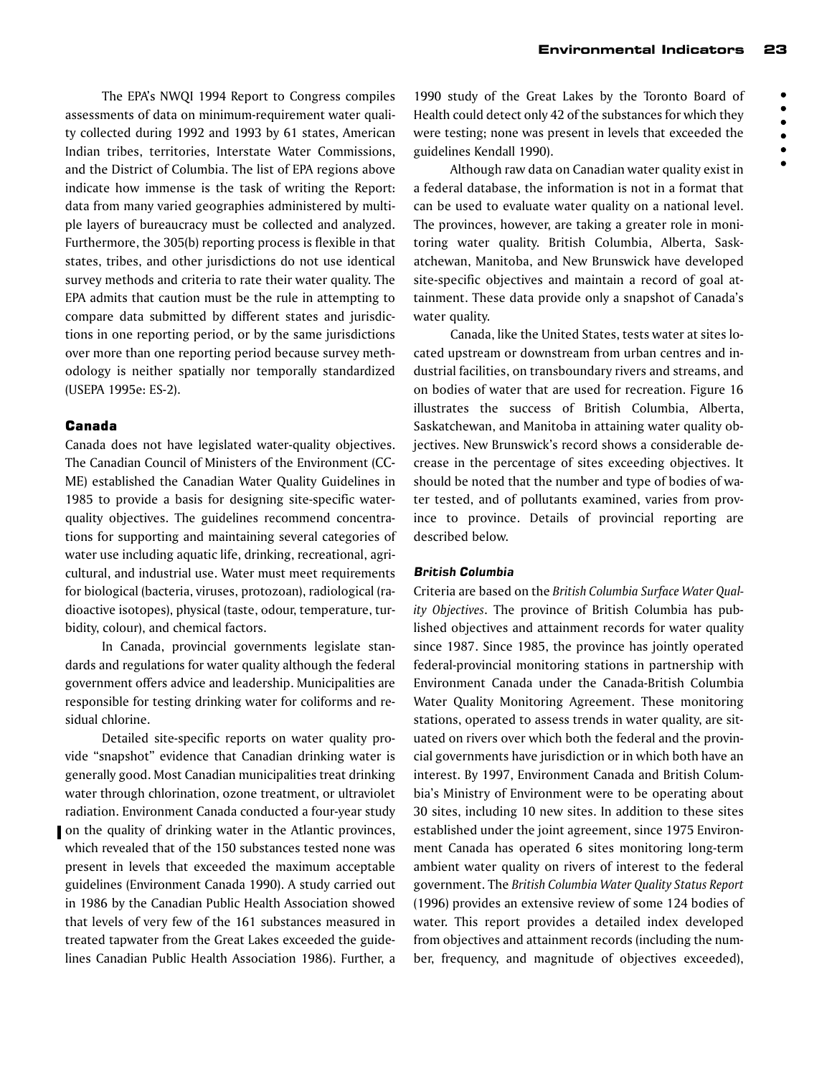$\ddot{\bullet}$ 

 $\bullet$  $\bullet$ 

The EPA's NWQI 1994 Report to Congress compiles assessments of data on minimum-requirement water quality collected during 1992 and 1993 by 61 states, American Indian tribes, territories, Interstate Water Commissions, and the District of Columbia. The list of EPA regions above indicate how immense is the task of writing the Report: data from many varied geographies administered by multiple layers of bureaucracy must be collected and analyzed. Furthermore, the 305(b) reporting process is flexible in that states, tribes, and other jurisdictions do not use identical survey methods and criteria to rate their water quality. The EPA admits that caution must be the rule in attempting to compare data submitted by different states and jurisdictions in one reporting period, or by the same jurisdictions over more than one reporting period because survey methodology is neither spatially nor temporally standardized (USEPA 1995e: ES-2).

# Canada

Canada does not have legislated water-quality objectives. The Canadian Council of Ministers of the Environment (CC-ME) established the Canadian Water Quality Guidelines in 1985 to provide a basis for designing site-specific waterquality objectives. The guidelines recommend concentrations for supporting and maintaining several categories of water use including aquatic life, drinking, recreational, agricultural, and industrial use. Water must meet requirements for biological (bacteria, viruses, protozoan), radiological (radioactive isotopes), physical (taste, odour, temperature, turbidity, colour), and chemical factors.

In Canada, provincial governments legislate standards and regulations for water quality although the federal government offers advice and leadership. Municipalities are responsible for testing drinking water for coliforms and residual chlorine.

Detailed site-specific reports on water quality provide "snapshot" evidence that Canadian drinking water is generally good. Most Canadian municipalities treat drinking water through chlorination, ozone treatment, or ultraviolet radiation. Environment Canada conducted a four-year study on the quality of drinking water in the Atlantic provinces, which revealed that of the 150 substances tested none was present in levels that exceeded the maximum acceptable guidelines (Environment Canada 1990). A study carried out in 1986 by the Canadian Public Health Association showed that levels of very few of the 161 substances measured in treated tapwater from the Great Lakes exceeded the guidelines Canadian Public Health Association 1986). Further, a

1990 study of the Great Lakes by the Toronto Board of Health could detect only 42 of the substances for which they were testing; none was present in levels that exceeded the guidelines Kendall 1990).

Although raw data on Canadian water quality exist in a federal database, the information is not in a format that can be used to evaluate water quality on a national level. The provinces, however, are taking a greater role in monitoring water quality. British Columbia, Alberta, Saskatchewan, Manitoba, and New Brunswick have developed site-specific objectives and maintain a record of goal attainment. These data provide only a snapshot of Canada's water quality.

Canada, like the United States, tests water at sites located upstream or downstream from urban centres and industrial facilities, on transboundary rivers and streams, and on bodies of water that are used for recreation. Figure 16 illustrates the success of British Columbia, Alberta, Saskatchewan, and Manitoba in attaining water quality objectives. New Brunswick's record shows a considerable decrease in the percentage of sites exceeding objectives. It should be noted that the number and type of bodies of water tested, and of pollutants examined, varies from province to province. Details of provincial reporting are described below.

#### *British Columbia*

Criteria are based on the *British Columbia Surface Water Quality Objectives*. The province of British Columbia has published objectives and attainment records for water quality since 1987. Since 1985, the province has jointly operated federal-provincial monitoring stations in partnership with Environment Canada under the Canada-British Columbia Water Quality Monitoring Agreement. These monitoring stations, operated to assess trends in water quality, are situated on rivers over which both the federal and the provincial governments have jurisdiction or in which both have an interest. By 1997, Environment Canada and British Columbia's Ministry of Environment were to be operating about 30 sites, including 10 new sites. In addition to these sites established under the joint agreement, since 1975 Environment Canada has operated 6 sites monitoring long-term ambient water quality on rivers of interest to the federal government. The *British Columbia Water Quality Status Report* (1996) provides an extensive review of some 124 bodies of water. This report provides a detailed index developed from objectives and attainment records (including the number, frequency, and magnitude of objectives exceeded),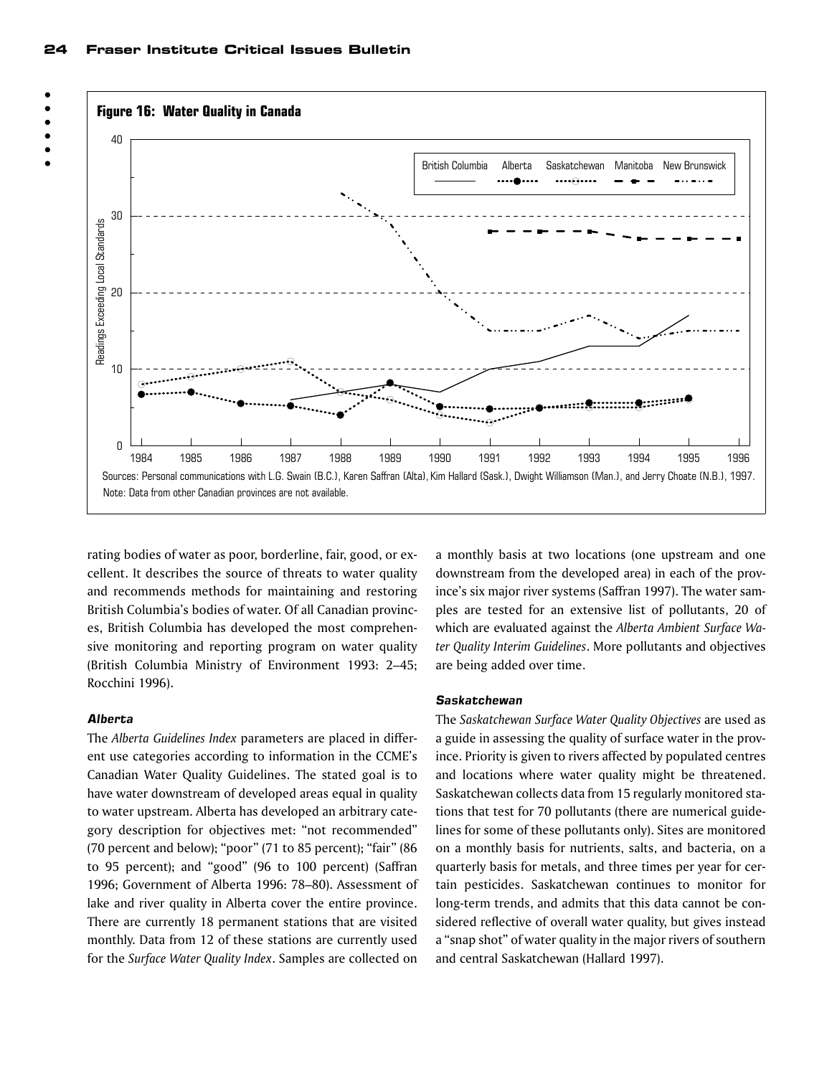

rating bodies of water as poor, borderline, fair, good, or excellent. It describes the source of threats to water quality and recommends methods for maintaining and restoring British Columbia's bodies of water. Of all Canadian provinces, British Columbia has developed the most comprehensive monitoring and reporting program on water quality (British Columbia Ministry of Environment 1993: 2–45; Rocchini 1996).

Note: Data from other Canadian provinces are not available.

# *Alberta*

The *Alberta Guidelines Index* parameters are placed in different use categories according to information in the CCME's Canadian Water Quality Guidelines. The stated goal is to have water downstream of developed areas equal in quality to water upstream. Alberta has developed an arbitrary category description for objectives met: "not recommended" (70 percent and below); "poor" (71 to 85 percent); "fair" (86 to 95 percent); and "good" (96 to 100 percent) (Saffran 1996; Government of Alberta 1996: 78–80). Assessment of lake and river quality in Alberta cover the entire province. There are currently 18 permanent stations that are visited monthly. Data from 12 of these stations are currently used for the *Surface Water Quality Index*. Samples are collected on

a monthly basis at two locations (one upstream and one downstream from the developed area) in each of the province's six major river systems (Saffran 1997). The water samples are tested for an extensive list of pollutants, 20 of which are evaluated against the *Alberta Ambient Surface Water Quality Interim Guidelines*. More pollutants and objectives are being added over time.

-..-...

#### *Saskatchewan*

The *Saskatchewan Surface Water Quality Objectives* are used as a guide in assessing the quality of surface water in the province. Priority is given to rivers affected by populated centres and locations where water quality might be threatened. Saskatchewan collects data from 15 regularly monitored stations that test for 70 pollutants (there are numerical guidelines for some of these pollutants only). Sites are monitored on a monthly basis for nutrients, salts, and bacteria, on a quarterly basis for metals, and three times per year for certain pesticides. Saskatchewan continues to monitor for long-term trends, and admits that this data cannot be considered reflective of overall water quality, but gives instead a "snap shot" of water quality in the major rivers of southern and central Saskatchewan (Hallard 1997).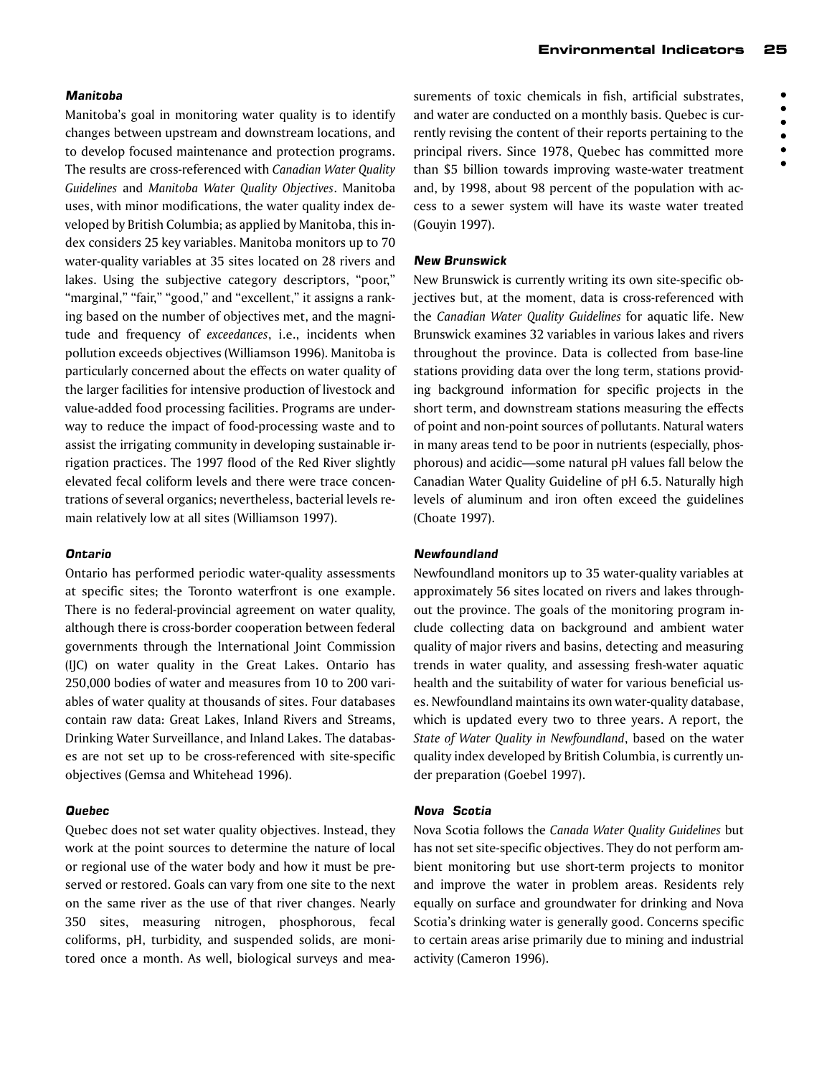#### *Manitoba*

Manitoba's goal in monitoring water quality is to identify changes between upstream and downstream locations, and to develop focused maintenance and protection programs. The results are cross-referenced with *Canadian Water Quality Guidelines* and *Manitoba Water Quality Objectives*. Manitoba uses, with minor modifications, the water quality index developed by British Columbia; as applied by Manitoba, this index considers 25 key variables. Manitoba monitors up to 70 water-quality variables at 35 sites located on 28 rivers and lakes. Using the subjective category descriptors, "poor," "marginal," "fair," "good," and "excellent," it assigns a ranking based on the number of objectives met, and the magnitude and frequency of *exceedances*, i.e., incidents when pollution exceeds objectives (Williamson 1996). Manitoba is particularly concerned about the effects on water quality of the larger facilities for intensive production of livestock and value-added food processing facilities. Programs are underway to reduce the impact of food-processing waste and to assist the irrigating community in developing sustainable irrigation practices. The 1997 flood of the Red River slightly elevated fecal coliform levels and there were trace concentrations of several organics; nevertheless, bacterial levels remain relatively low at all sites (Williamson 1997).

#### *Ontario*

Ontario has performed periodic water-quality assessments at specific sites; the Toronto waterfront is one example. There is no federal-provincial agreement on water quality, although there is cross-border cooperation between federal governments through the International Joint Commission (IJC) on water quality in the Great Lakes. Ontario has 250,000 bodies of water and measures from 10 to 200 variables of water quality at thousands of sites. Four databases contain raw data: Great Lakes, Inland Rivers and Streams, Drinking Water Surveillance, and Inland Lakes. The databases are not set up to be cross-referenced with site-specific objectives (Gemsa and Whitehead 1996).

#### *Quebec*

Quebec does not set water quality objectives. Instead, they work at the point sources to determine the nature of local or regional use of the water body and how it must be preserved or restored. Goals can vary from one site to the next on the same river as the use of that river changes. Nearly 350 sites, measuring nitrogen, phosphorous, fecal coliforms, pH, turbidity, and suspended solids, are monitored once a month. As well, biological surveys and measurements of toxic chemicals in fish, artificial substrates, and water are conducted on a monthly basis. Quebec is currently revising the content of their reports pertaining to the principal rivers. Since 1978, Quebec has committed more than \$5 billion towards improving waste-water treatment and, by 1998, about 98 percent of the population with access to a sewer system will have its waste water treated (Gouyin 1997).

#### *New Brunswick*

New Brunswick is currently writing its own site-specific objectives but, at the moment, data is cross-referenced with the *Canadian Water Quality Guidelines* for aquatic life. New Brunswick examines 32 variables in various lakes and rivers throughout the province. Data is collected from base-line stations providing data over the long term, stations providing background information for specific projects in the short term, and downstream stations measuring the effects of point and non-point sources of pollutants. Natural waters in many areas tend to be poor in nutrients (especially, phosphorous) and acidic—some natural pH values fall below the Canadian Water Quality Guideline of pH 6.5. Naturally high levels of aluminum and iron often exceed the guidelines (Choate 1997).

#### *Newfoundland*

Newfoundland monitors up to 35 water-quality variables at approximately 56 sites located on rivers and lakes throughout the province. The goals of the monitoring program include collecting data on background and ambient water quality of major rivers and basins, detecting and measuring trends in water quality, and assessing fresh-water aquatic health and the suitability of water for various beneficial uses. Newfoundland maintains its own water-quality database, which is updated every two to three years. A report, the *State of Water Quality in Newfoundland*, based on the water quality index developed by British Columbia, is currently under preparation (Goebel 1997).

#### *Nova Scotia*

Nova Scotia follows the *Canada Water Quality Guidelines* but has not set site-specific objectives. They do not perform ambient monitoring but use short-term projects to monitor and improve the water in problem areas. Residents rely equally on surface and groundwater for drinking and Nova Scotia's drinking water is generally good. Concerns specific to certain areas arise primarily due to mining and industrial activity (Cameron 1996).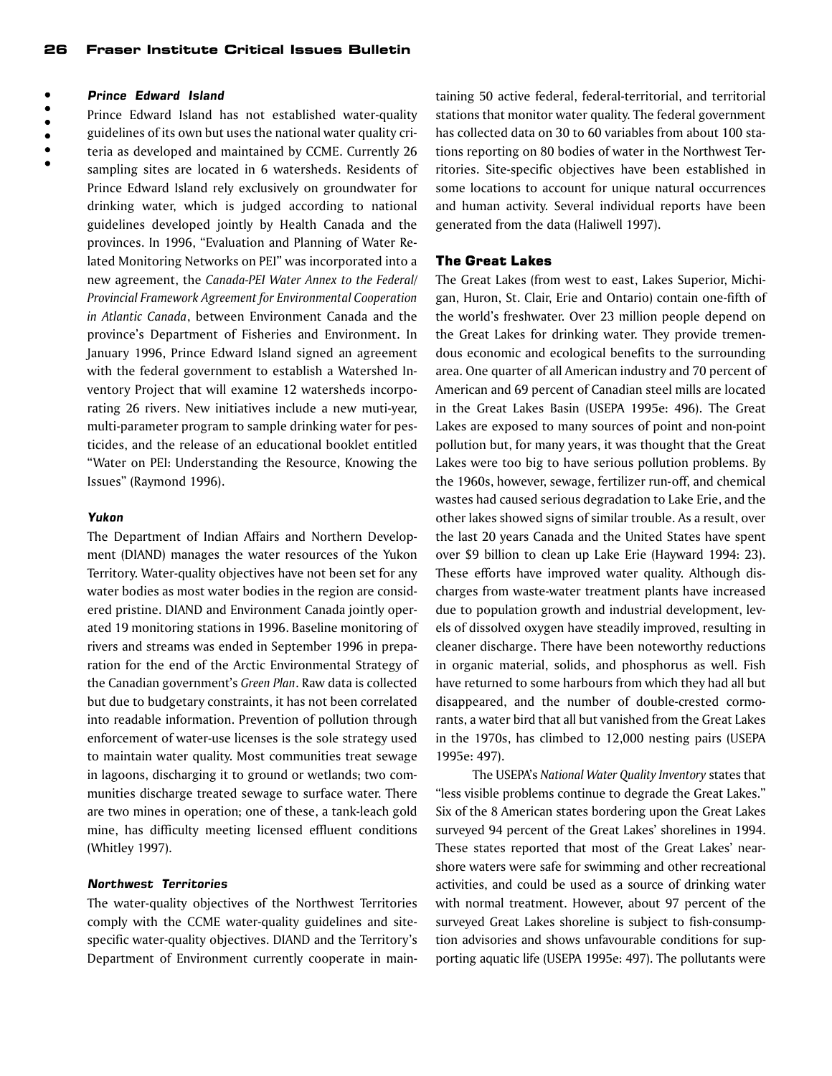#### $\ddot{\bullet}$ *Prince Edward Island*

Prince Edward Island has not established water-quality

- $\begin{array}{c} \bullet \\ \bullet \\ \bullet \end{array}$ guidelines of its own but uses the national water quality criteria as developed and maintained by CCME. Currently 26
	- sampling sites are located in 6 watersheds. Residents of Prince Edward Island rely exclusively on groundwater for drinking water, which is judged according to national guidelines developed jointly by Health Canada and the provinces. In 1996, "Evaluation and Planning of Water Related Monitoring Networks on PEI" was incorporated into a new agreement, the *Canada-PEI Water Annex to the Federal/ Provincial Framework Agreement for Environmental Cooperation in Atlantic Canada*, between Environment Canada and the province's Department of Fisheries and Environment. In January 1996, Prince Edward Island signed an agreement with the federal government to establish a Watershed Inventory Project that will examine 12 watersheds incorporating 26 rivers. New initiatives include a new muti-year, multi-parameter program to sample drinking water for pesticides, and the release of an educational booklet entitled "Water on PEI: Understanding the Resource, Knowing the Issues" (Raymond 1996).

#### *Yukon*

The Department of Indian Affairs and Northern Development (DIAND) manages the water resources of the Yukon Territory. Water-quality objectives have not been set for any water bodies as most water bodies in the region are considered pristine. DIAND and Environment Canada jointly operated 19 monitoring stations in 1996. Baseline monitoring of rivers and streams was ended in September 1996 in preparation for the end of the Arctic Environmental Strategy of the Canadian government's *Green Plan*. Raw data is collected but due to budgetary constraints, it has not been correlated into readable information. Prevention of pollution through enforcement of water-use licenses is the sole strategy used to maintain water quality. Most communities treat sewage in lagoons, discharging it to ground or wetlands; two communities discharge treated sewage to surface water. There are two mines in operation; one of these, a tank-leach gold mine, has difficulty meeting licensed effluent conditions (Whitley 1997).

#### *Northwest Territories*

The water-quality objectives of the Northwest Territories comply with the CCME water-quality guidelines and sitespecific water-quality objectives. DIAND and the Territory's Department of Environment currently cooperate in main-

taining 50 active federal, federal-territorial, and territorial stations that monitor water quality. The federal government has collected data on 30 to 60 variables from about 100 stations reporting on 80 bodies of water in the Northwest Territories. Site-specific objectives have been established in some locations to account for unique natural occurrences and human activity. Several individual reports have been generated from the data (Haliwell 1997).

#### The Great Lakes

The Great Lakes (from west to east, Lakes Superior, Michigan, Huron, St. Clair, Erie and Ontario) contain one-fifth of the world's freshwater. Over 23 million people depend on the Great Lakes for drinking water. They provide tremendous economic and ecological benefits to the surrounding area. One quarter of all American industry and 70 percent of American and 69 percent of Canadian steel mills are located in the Great Lakes Basin (USEPA 1995e: 496). The Great Lakes are exposed to many sources of point and non-point pollution but, for many years, it was thought that the Great Lakes were too big to have serious pollution problems. By the 1960s, however, sewage, fertilizer run-off, and chemical wastes had caused serious degradation to Lake Erie, and the other lakes showed signs of similar trouble. As a result, over the last 20 years Canada and the United States have spent over \$9 billion to clean up Lake Erie (Hayward 1994: 23). These efforts have improved water quality. Although discharges from waste-water treatment plants have increased due to population growth and industrial development, levels of dissolved oxygen have steadily improved, resulting in cleaner discharge. There have been noteworthy reductions in organic material, solids, and phosphorus as well. Fish have returned to some harbours from which they had all but disappeared, and the number of double-crested cormorants, a water bird that all but vanished from the Great Lakes in the 1970s, has climbed to 12,000 nesting pairs (USEPA 1995e: 497).

The USEPA's *National Water Quality Inventory* states that "less visible problems continue to degrade the Great Lakes." Six of the 8 American states bordering upon the Great Lakes surveyed 94 percent of the Great Lakes' shorelines in 1994. These states reported that most of the Great Lakes' nearshore waters were safe for swimming and other recreational activities, and could be used as a source of drinking water with normal treatment. However, about 97 percent of the surveyed Great Lakes shoreline is subject to fish-consumption advisories and shows unfavourable conditions for supporting aquatic life (USEPA 1995e: 497). The pollutants were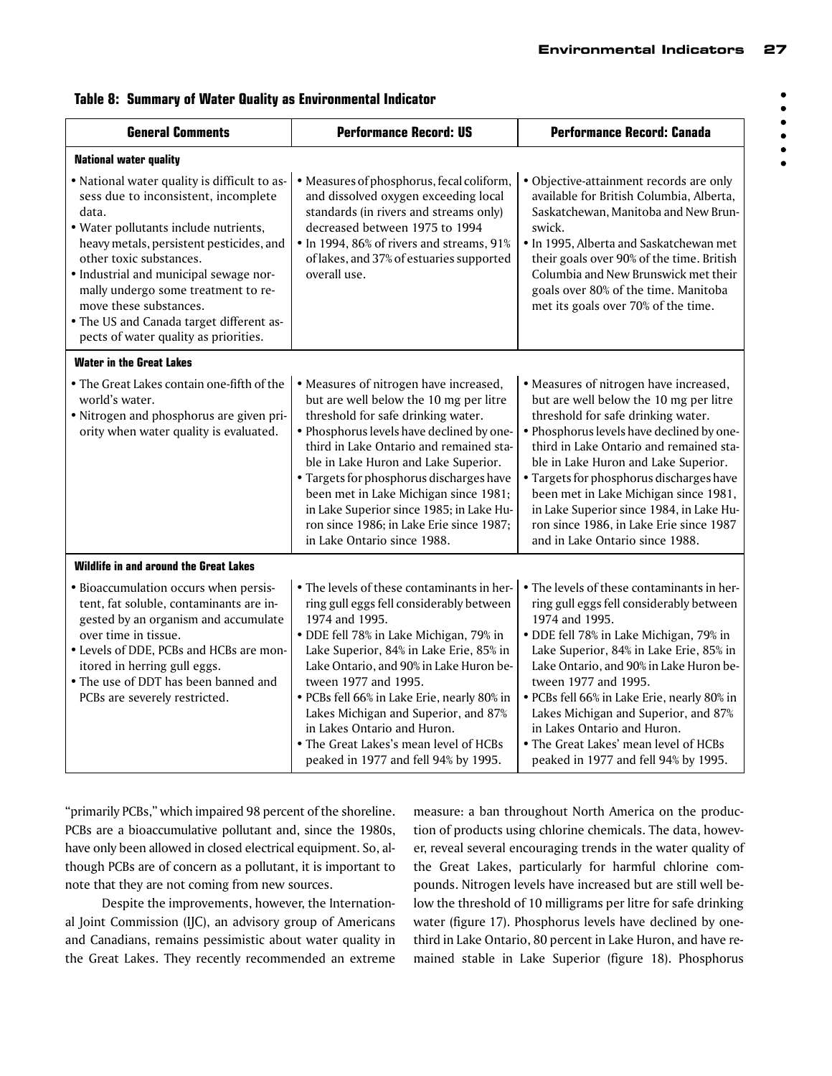| ٠      |
|--------|
| ٠      |
| ٠      |
| ٠      |
| 1<br>ь |
|        |

|  |  | <b>Table 8: Summary of Water Quality as Environmental Indicator</b> |  |  |  |  |
|--|--|---------------------------------------------------------------------|--|--|--|--|
|--|--|---------------------------------------------------------------------|--|--|--|--|

| <b>General Comments</b>                                                                                                                                                                                                                                                                                                                                                                                       | <b>Performance Record: US</b>                                                                                                                                                                                                                                                                                                                                                                                                                                             | <b>Performance Record: Canada</b>                                                                                                                                                                                                                                                                                                                                                                                                                                        |
|---------------------------------------------------------------------------------------------------------------------------------------------------------------------------------------------------------------------------------------------------------------------------------------------------------------------------------------------------------------------------------------------------------------|---------------------------------------------------------------------------------------------------------------------------------------------------------------------------------------------------------------------------------------------------------------------------------------------------------------------------------------------------------------------------------------------------------------------------------------------------------------------------|--------------------------------------------------------------------------------------------------------------------------------------------------------------------------------------------------------------------------------------------------------------------------------------------------------------------------------------------------------------------------------------------------------------------------------------------------------------------------|
| <b>National water quality</b>                                                                                                                                                                                                                                                                                                                                                                                 |                                                                                                                                                                                                                                                                                                                                                                                                                                                                           |                                                                                                                                                                                                                                                                                                                                                                                                                                                                          |
| • National water quality is difficult to as-<br>sess due to inconsistent, incomplete<br>data.<br>· Water pollutants include nutrients,<br>heavy metals, persistent pesticides, and<br>other toxic substances.<br>· Industrial and municipal sewage nor-<br>mally undergo some treatment to re-<br>move these substances.<br>• The US and Canada target different as-<br>pects of water quality as priorities. | · Measures of phosphorus, fecal coliform,<br>and dissolved oxygen exceeding local<br>standards (in rivers and streams only)<br>decreased between 1975 to 1994<br>• In 1994, 86% of rivers and streams, 91%<br>of lakes, and 37% of estuaries supported<br>overall use.                                                                                                                                                                                                    | · Objective-attainment records are only<br>available for British Columbia, Alberta,<br>Saskatchewan, Manitoba and New Brun-<br>swick.<br>• In 1995, Alberta and Saskatchewan met<br>their goals over 90% of the time. British<br>Columbia and New Brunswick met their<br>goals over 80% of the time. Manitoba<br>met its goals over 70% of the time.                                                                                                                     |
| <b>Water in the Great Lakes</b>                                                                                                                                                                                                                                                                                                                                                                               |                                                                                                                                                                                                                                                                                                                                                                                                                                                                           |                                                                                                                                                                                                                                                                                                                                                                                                                                                                          |
| • The Great Lakes contain one-fifth of the<br>world's water.<br>· Nitrogen and phosphorus are given pri-<br>ority when water quality is evaluated.                                                                                                                                                                                                                                                            | · Measures of nitrogen have increased,<br>but are well below the 10 mg per litre<br>threshold for safe drinking water.<br>· Phosphorus levels have declined by one-<br>third in Lake Ontario and remained sta-<br>ble in Lake Huron and Lake Superior.<br>· Targets for phosphorus discharges have<br>been met in Lake Michigan since 1981;<br>in Lake Superior since 1985; in Lake Hu-<br>ron since 1986; in Lake Erie since 1987;<br>in Lake Ontario since 1988.        | · Measures of nitrogen have increased,<br>but are well below the 10 mg per litre<br>threshold for safe drinking water.<br>· Phosphorus levels have declined by one-<br>third in Lake Ontario and remained sta-<br>ble in Lake Huron and Lake Superior.<br>· Targets for phosphorus discharges have<br>been met in Lake Michigan since 1981,<br>in Lake Superior since 1984, in Lake Hu-<br>ron since 1986, in Lake Erie since 1987<br>and in Lake Ontario since 1988.    |
| Wildlife in and around the Great Lakes                                                                                                                                                                                                                                                                                                                                                                        |                                                                                                                                                                                                                                                                                                                                                                                                                                                                           |                                                                                                                                                                                                                                                                                                                                                                                                                                                                          |
| · Bioaccumulation occurs when persis-<br>tent, fat soluble, contaminants are in-<br>gested by an organism and accumulate<br>over time in tissue.<br>• Levels of DDE, PCBs and HCBs are mon-<br>itored in herring gull eggs.<br>• The use of DDT has been banned and<br>PCBs are severely restricted.                                                                                                          | • The levels of these contaminants in her-<br>ring gull eggs fell considerably between<br>1974 and 1995.<br>· DDE fell 78% in Lake Michigan, 79% in<br>Lake Superior, 84% in Lake Erie, 85% in<br>Lake Ontario, and 90% in Lake Huron be-<br>tween 1977 and 1995.<br>· PCBs fell 66% in Lake Erie, nearly 80% in<br>Lakes Michigan and Superior, and 87%<br>in Lakes Ontario and Huron.<br>• The Great Lakes's mean level of HCBs<br>peaked in 1977 and fell 94% by 1995. | • The levels of these contaminants in her-<br>ring gull eggs fell considerably between<br>1974 and 1995.<br>· DDE fell 78% in Lake Michigan, 79% in<br>Lake Superior, 84% in Lake Erie, 85% in<br>Lake Ontario, and 90% in Lake Huron be-<br>tween 1977 and 1995.<br>· PCBs fell 66% in Lake Erie, nearly 80% in<br>Lakes Michigan and Superior, and 87%<br>in Lakes Ontario and Huron.<br>• The Great Lakes' mean level of HCBs<br>peaked in 1977 and fell 94% by 1995. |

"primarily PCBs," which impaired 98 percent of the shoreline. PCBs are a bioaccumulative pollutant and, since the 1980s, have only been allowed in closed electrical equipment. So, although PCBs are of concern as a pollutant, it is important to note that they are not coming from new sources.

Despite the improvements, however, the International Joint Commission (IJC), an advisory group of Americans and Canadians, remains pessimistic about water quality in the Great Lakes. They recently recommended an extreme measure: a ban throughout North America on the production of products using chlorine chemicals. The data, however, reveal several encouraging trends in the water quality of the Great Lakes, particularly for harmful chlorine compounds. Nitrogen levels have increased but are still well below the threshold of 10 milligrams per litre for safe drinking water (figure 17). Phosphorus levels have declined by onethird in Lake Ontario, 80 percent in Lake Huron, and have remained stable in Lake Superior (figure 18). Phosphorus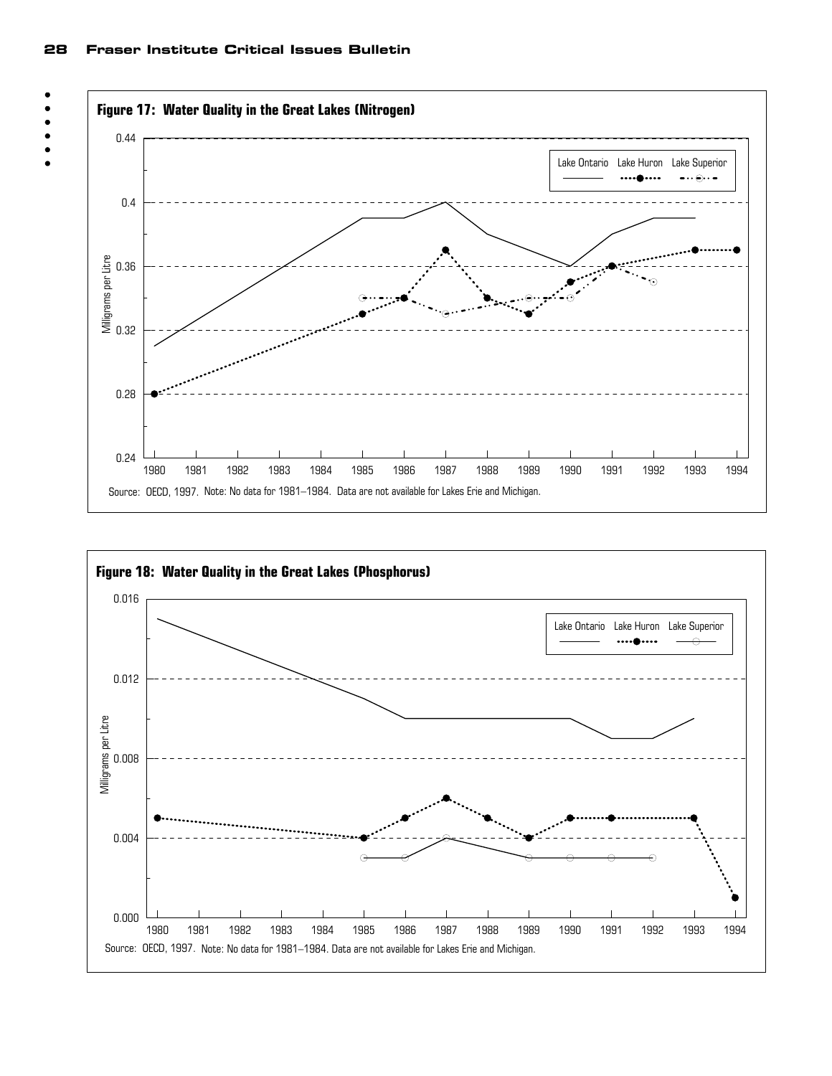

**Figure 17: Water Quality in the Great Lakes (Nitrogen)**



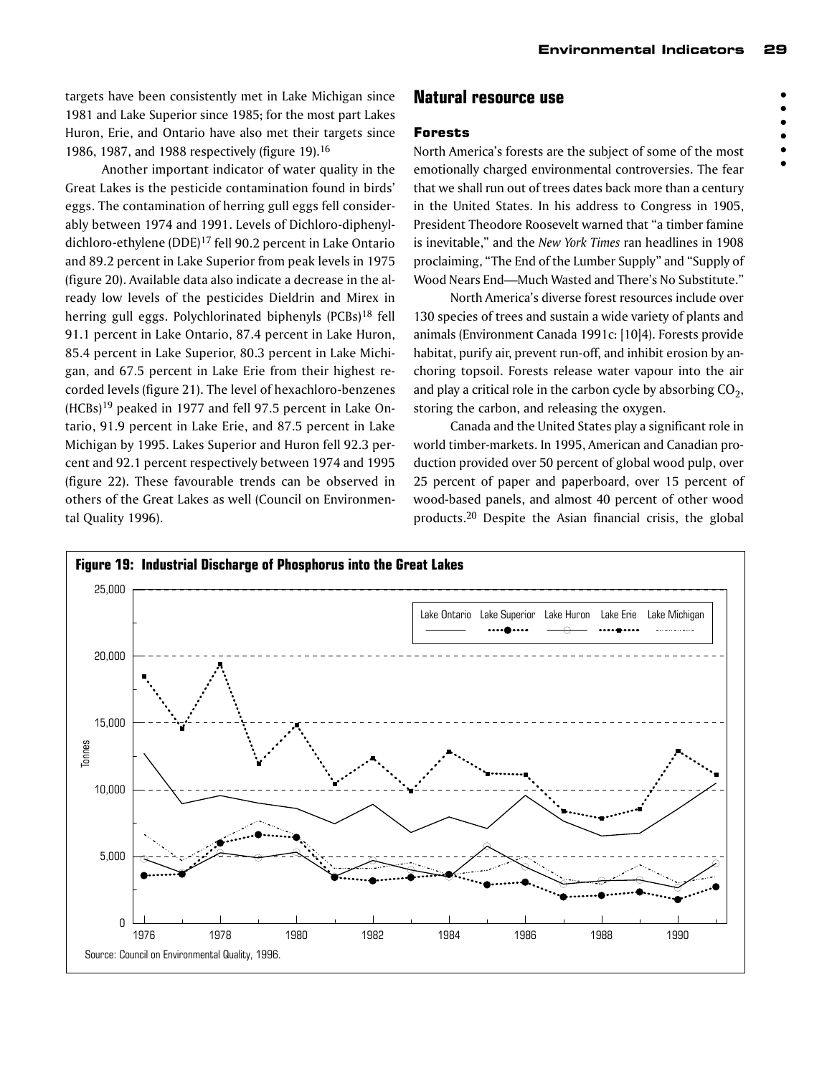targets have been consistently met in Lake Michigan since 1981 and Lake Superior since 1985; for the most part Lakes Huron, Erie, and Ontario have also met their targets since 1986, 1987, and 1988 respectively (figure 19).16

Another important indicator of water quality in the Great Lakes is the pesticide contamination found in birds' eggs. The contamination of herring gull eggs fell considerably between 1974 and 1991. Levels of Dichloro-diphenyldichloro-ethylene (DDE)17 fell 90.2 percent in Lake Ontario and 89.2 percent in Lake Superior from peak levels in 1975 (figure 20). Available data also indicate a decrease in the already low levels of the pesticides Dieldrin and Mirex in herring gull eggs. Polychlorinated biphenyls (PCBs)18 fell 91.1 percent in Lake Ontario, 87.4 percent in Lake Huron, 85.4 percent in Lake Superior, 80.3 percent in Lake Michigan, and 67.5 percent in Lake Erie from their highest recorded levels (figure 21). The level of hexachloro-benzenes (HCBs)19 peaked in 1977 and fell 97.5 percent in Lake Ontario, 91.9 percent in Lake Erie, and 87.5 percent in Lake Michigan by 1995. Lakes Superior and Huron fell 92.3 percent and 92.1 percent respectively between 1974 and 1995 (figure 22). These favourable trends can be observed in others of the Great Lakes as well (Council on Environmental Quality 1996).

# **Natural resource use**

#### Forests

North America's forests are the subject of some of the most emotionally charged environmental controversies. The fear that we shall run out of trees dates back more than a century in the United States. In his address to Congress in 1905, President Theodore Roosevelt warned that "a timber famine is inevitable," and the *New York Times* ran headlines in 1908 proclaiming, "The End of the Lumber Supply" and "Supply of Wood Nears End—Much Wasted and There's No Substitute."

North America's diverse forest resources include over 130 species of trees and sustain a wide variety of plants and animals (Environment Canada 1991c: [10]4). Forests provide habitat, purify air, prevent run-off, and inhibit erosion by anchoring topsoil. Forests release water vapour into the air and play a critical role in the carbon cycle by absorbing  $CO<sub>2</sub>$ , storing the carbon, and releasing the oxygen.

Canada and the United States play a significant role in world timber-markets. In 1995, American and Canadian production provided over 50 percent of global wood pulp, over 25 percent of paper and paperboard, over 15 percent of wood-based panels, and almost 40 percent of other wood products.20 Despite the Asian financial crisis, the global



 $\bullet$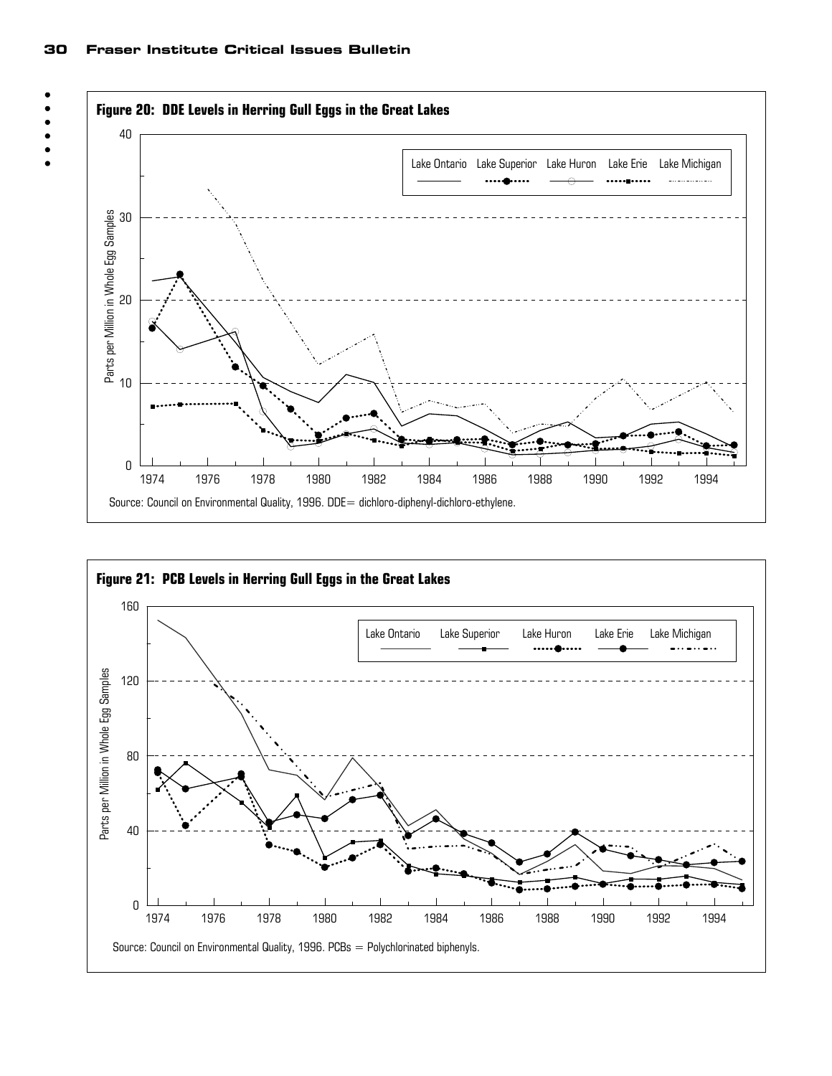



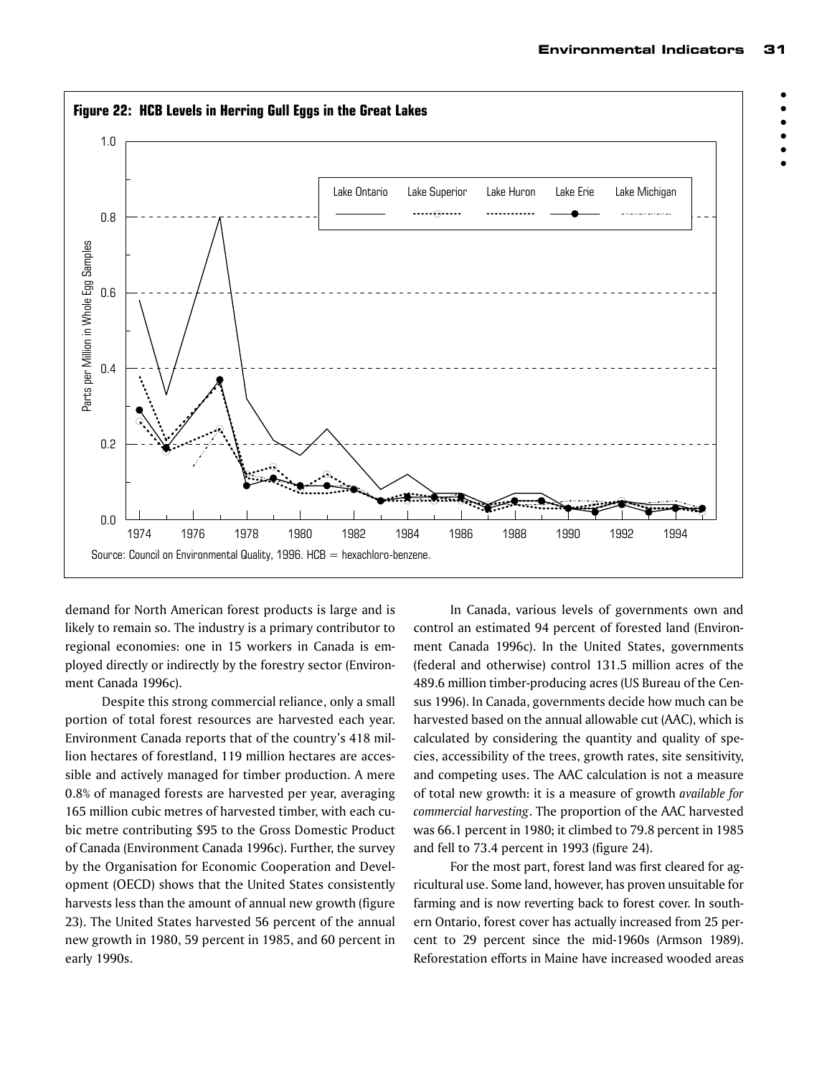

demand for North American forest products is large and is likely to remain so. The industry is a primary contributor to regional economies: one in 15 workers in Canada is employed directly or indirectly by the forestry sector (Environment Canada 1996c).

Despite this strong commercial reliance, only a small portion of total forest resources are harvested each year. Environment Canada reports that of the country's 418 million hectares of forestland, 119 million hectares are accessible and actively managed for timber production. A mere 0.8% of managed forests are harvested per year, averaging 165 million cubic metres of harvested timber, with each cubic metre contributing \$95 to the Gross Domestic Product of Canada (Environment Canada 1996c). Further, the survey by the Organisation for Economic Cooperation and Development (OECD) shows that the United States consistently harvests less than the amount of annual new growth (figure 23). The United States harvested 56 percent of the annual new growth in 1980, 59 percent in 1985, and 60 percent in early 1990s.

In Canada, various levels of governments own and control an estimated 94 percent of forested land (Environment Canada 1996c). In the United States, governments (federal and otherwise) control 131.5 million acres of the 489.6 million timber-producing acres (US Bureau of the Census 1996). In Canada, governments decide how much can be harvested based on the annual allowable cut (AAC), which is calculated by considering the quantity and quality of species, accessibility of the trees, growth rates, site sensitivity, and competing uses. The AAC calculation is not a measure of total new growth: it is a measure of growth *available for commercial harvesting*. The proportion of the AAC harvested was 66.1 percent in 1980; it climbed to 79.8 percent in 1985 and fell to 73.4 percent in 1993 (figure 24).

For the most part, forest land was first cleared for agricultural use. Some land, however, has proven unsuitable for farming and is now reverting back to forest cover. In southern Ontario, forest cover has actually increased from 25 percent to 29 percent since the mid-1960s (Armson 1989). Reforestation efforts in Maine have increased wooded areas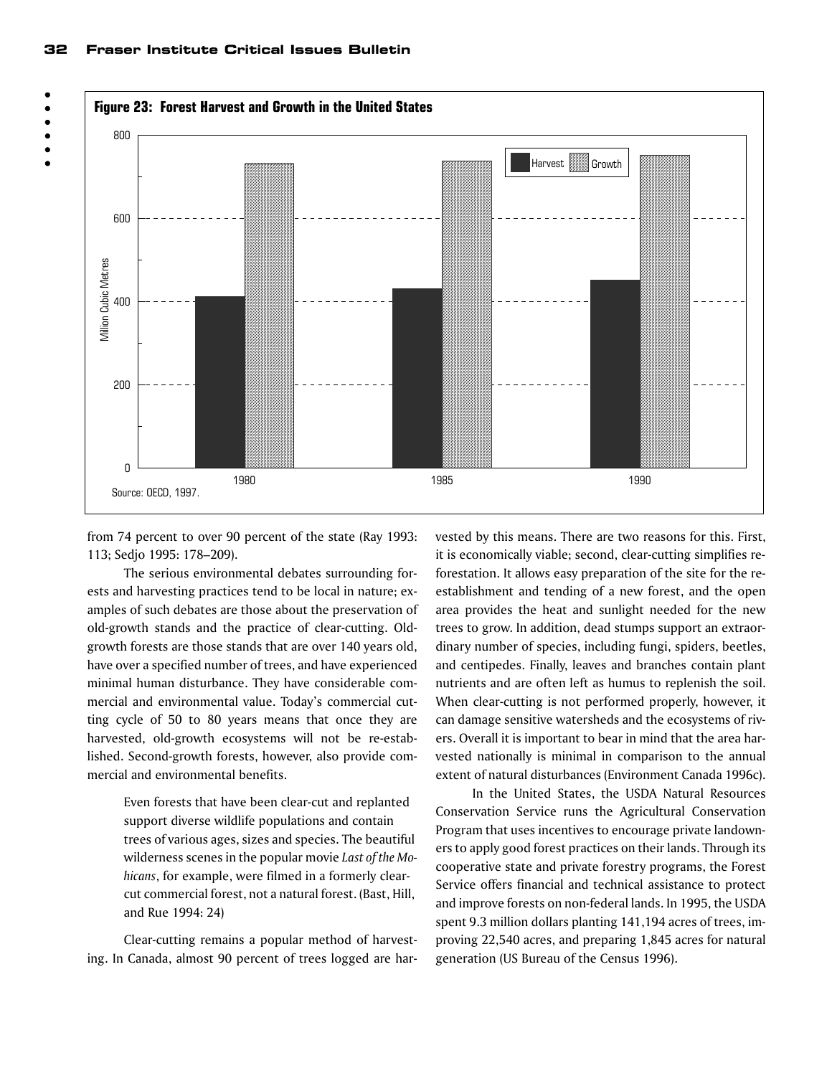



from 74 percent to over 90 percent of the state (Ray 1993: 113; Sedjo 1995: 178–209).

The serious environmental debates surrounding forests and harvesting practices tend to be local in nature; examples of such debates are those about the preservation of old-growth stands and the practice of clear-cutting. Oldgrowth forests are those stands that are over 140 years old, have over a specified number of trees, and have experienced minimal human disturbance. They have considerable commercial and environmental value. Today's commercial cutting cycle of 50 to 80 years means that once they are harvested, old-growth ecosystems will not be re-established. Second-growth forests, however, also provide commercial and environmental benefits.

> Even forests that have been clear-cut and replanted support diverse wildlife populations and contain trees of various ages, sizes and species. The beautiful wilderness scenes in the popular movie *Last of the Mohicans*, for example, were filmed in a formerly clearcut commercial forest, not a natural forest. (Bast, Hill, and Rue 1994: 24)

Clear-cutting remains a popular method of harvesting. In Canada, almost 90 percent of trees logged are harvested by this means. There are two reasons for this. First, it is economically viable; second, clear-cutting simplifies reforestation. It allows easy preparation of the site for the reestablishment and tending of a new forest, and the open area provides the heat and sunlight needed for the new trees to grow. In addition, dead stumps support an extraordinary number of species, including fungi, spiders, beetles, and centipedes. Finally, leaves and branches contain plant nutrients and are often left as humus to replenish the soil. When clear-cutting is not performed properly, however, it can damage sensitive watersheds and the ecosystems of rivers. Overall it is important to bear in mind that the area harvested nationally is minimal in comparison to the annual extent of natural disturbances (Environment Canada 1996c).

In the United States, the USDA Natural Resources Conservation Service runs the Agricultural Conservation Program that uses incentives to encourage private landowners to apply good forest practices on their lands. Through its cooperative state and private forestry programs, the Forest Service offers financial and technical assistance to protect and improve forests on non-federal lands. In 1995, the USDA spent 9.3 million dollars planting 141,194 acres of trees, improving 22,540 acres, and preparing 1,845 acres for natural generation (US Bureau of the Census 1996).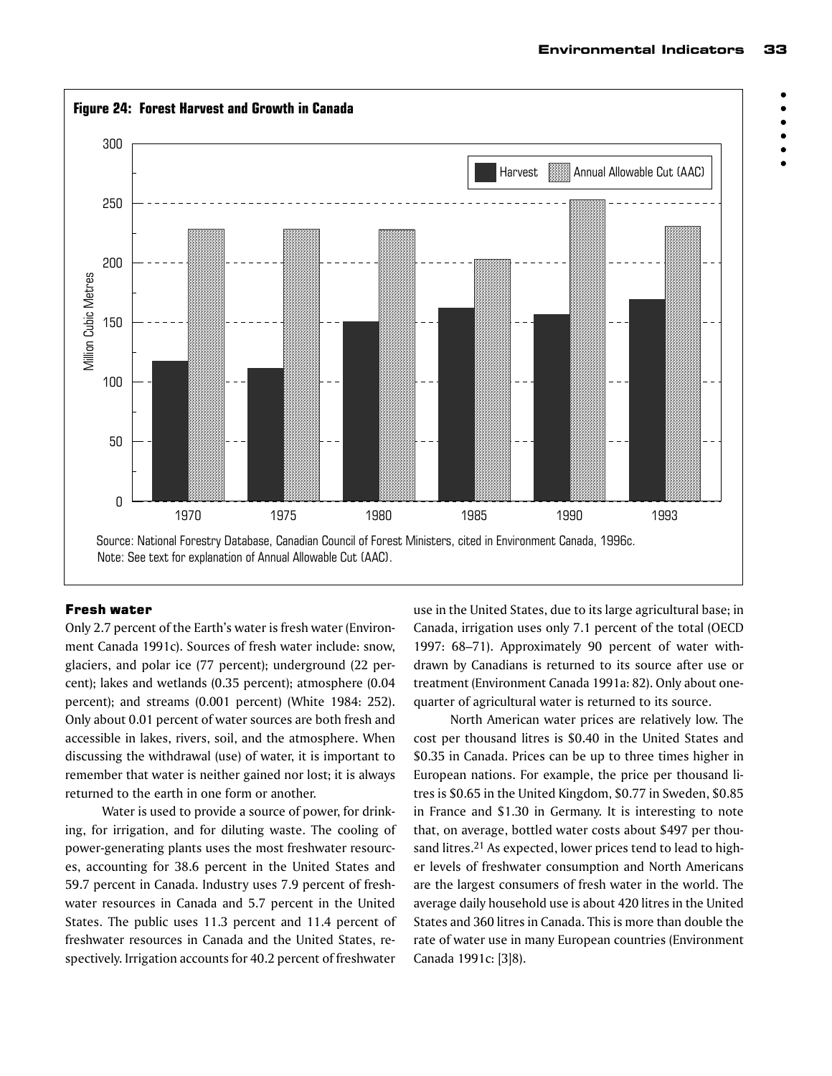

#### Fresh water

Only 2.7 percent of the Earth's water is fresh water (Environment Canada 1991c). Sources of fresh water include: snow, glaciers, and polar ice (77 percent); underground (22 percent); lakes and wetlands (0.35 percent); atmosphere (0.04 percent); and streams (0.001 percent) (White 1984: 252). Only about 0.01 percent of water sources are both fresh and accessible in lakes, rivers, soil, and the atmosphere. When discussing the withdrawal (use) of water, it is important to remember that water is neither gained nor lost; it is always returned to the earth in one form or another.

Water is used to provide a source of power, for drinking, for irrigation, and for diluting waste. The cooling of power-generating plants uses the most freshwater resources, accounting for 38.6 percent in the United States and 59.7 percent in Canada. Industry uses 7.9 percent of freshwater resources in Canada and 5.7 percent in the United States. The public uses 11.3 percent and 11.4 percent of freshwater resources in Canada and the United States, respectively. Irrigation accounts for 40.2 percent of freshwater

use in the United States, due to its large agricultural base; in Canada, irrigation uses only 7.1 percent of the total (OECD 1997: 68–71). Approximately 90 percent of water withdrawn by Canadians is returned to its source after use or treatment (Environment Canada 1991a: 82). Only about onequarter of agricultural water is returned to its source.

North American water prices are relatively low. The cost per thousand litres is \$0.40 in the United States and \$0.35 in Canada. Prices can be up to three times higher in European nations. For example, the price per thousand litres is \$0.65 in the United Kingdom, \$0.77 in Sweden, \$0.85 in France and \$1.30 in Germany. It is interesting to note that, on average, bottled water costs about \$497 per thousand litres.<sup>21</sup> As expected, lower prices tend to lead to higher levels of freshwater consumption and North Americans are the largest consumers of fresh water in the world. The average daily household use is about 420 litres in the United States and 360 litres in Canada. This is more than double the rate of water use in many European countries (Environment Canada 1991c: [3]8).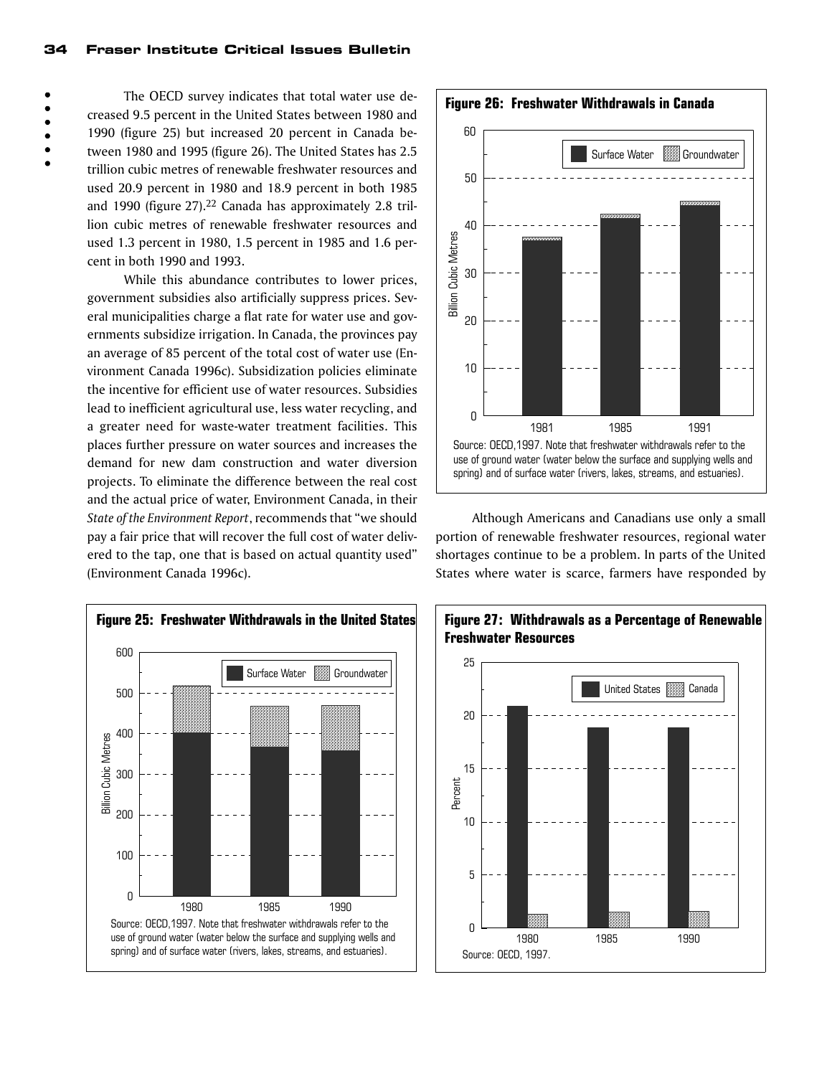The OECD survey indicates that total water use decreased 9.5 percent in the United States between 1980 and 1990 (figure 25) but increased 20 percent in Canada between 1980 and 1995 (figure 26). The United States has 2.5 trillion cubic metres of renewable freshwater resources and used 20.9 percent in 1980 and 18.9 percent in both 1985 and 1990 (figure 27).<sup>22</sup> Canada has approximately 2.8 trillion cubic metres of renewable freshwater resources and used 1.3 percent in 1980, 1.5 percent in 1985 and 1.6 percent in both 1990 and 1993.

While this abundance contributes to lower prices, government subsidies also artificially suppress prices. Several municipalities charge a flat rate for water use and governments subsidize irrigation. In Canada, the provinces pay an average of 85 percent of the total cost of water use (Environment Canada 1996c). Subsidization policies eliminate the incentive for efficient use of water resources. Subsidies lead to inefficient agricultural use, less water recycling, and a greater need for waste-water treatment facilities. This places further pressure on water sources and increases the demand for new dam construction and water diversion projects. To eliminate the difference between the real cost and the actual price of water, Environment Canada, in their *State of the Environment Report*, recommends that "we should pay a fair price that will recover the full cost of water delivered to the tap, one that is based on actual quantity used" (Environment Canada 1996c).





Although Americans and Canadians use only a small portion of renewable freshwater resources, regional water shortages continue to be a problem. In parts of the United States where water is scarce, farmers have responded by



**Figure 26: Freshwater Withdrawals in Canada**

 $\bullet$ 

 $\bullet$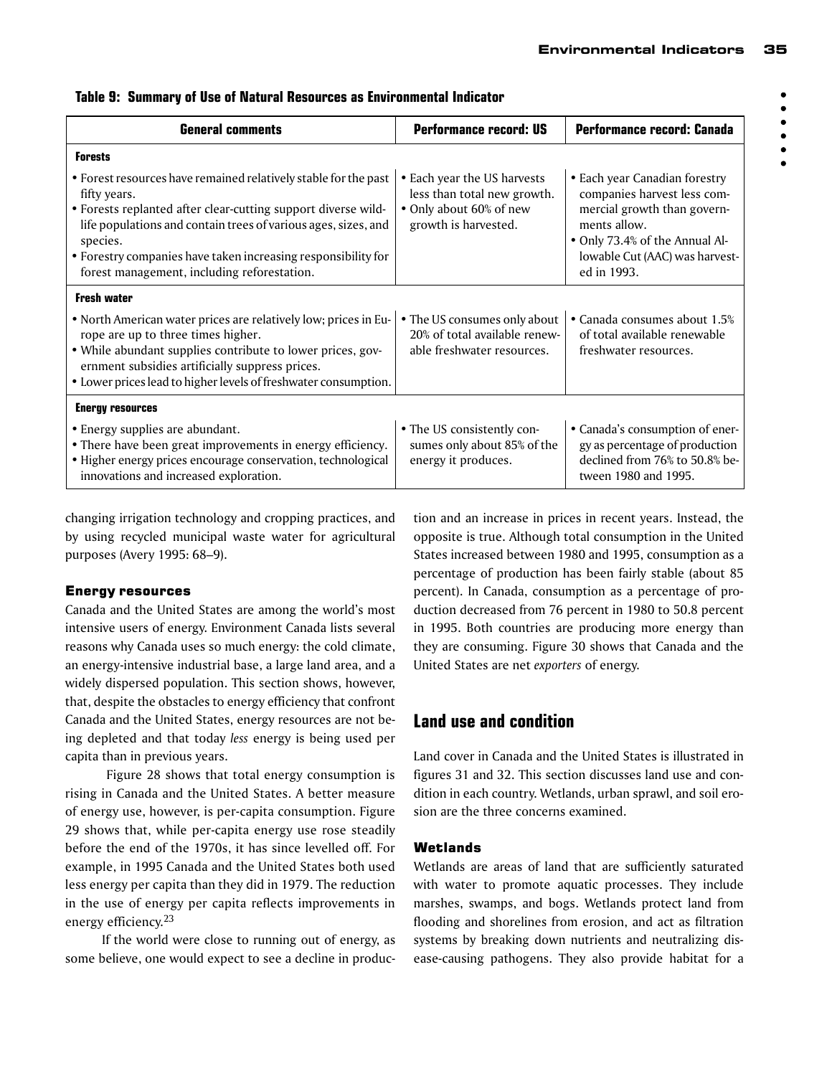| <b>General comments</b>                                                                                                                                                                                                                                                                                                                        | <b>Performance record: US</b>                                                                                 | Performance record: Canada                                                                                                                                                                     |
|------------------------------------------------------------------------------------------------------------------------------------------------------------------------------------------------------------------------------------------------------------------------------------------------------------------------------------------------|---------------------------------------------------------------------------------------------------------------|------------------------------------------------------------------------------------------------------------------------------------------------------------------------------------------------|
| <b>Forests</b>                                                                                                                                                                                                                                                                                                                                 |                                                                                                               |                                                                                                                                                                                                |
| • Forest resources have remained relatively stable for the past<br>fifty years.<br>• Forests replanted after clear-cutting support diverse wild-<br>life populations and contain trees of various ages, sizes, and<br>species.<br>• Forestry companies have taken increasing responsibility for<br>forest management, including reforestation. | • Each year the US harvests<br>less than total new growth.<br>• Only about 60% of new<br>growth is harvested. | • Each year Canadian forestry<br>companies harvest less com-<br>mercial growth than govern-<br>ments allow.<br>• Only 73.4% of the Annual Al-<br>lowable Cut (AAC) was harvest-<br>ed in 1993. |
| <b>Fresh water</b>                                                                                                                                                                                                                                                                                                                             |                                                                                                               |                                                                                                                                                                                                |
| • North American water prices are relatively low; prices in Eu-<br>rope are up to three times higher.<br>• While abundant supplies contribute to lower prices, gov-<br>ernment subsidies artificially suppress prices.<br>• Lower prices lead to higher levels of freshwater consumption.                                                      | • The US consumes only about<br>20% of total available renew-<br>able freshwater resources.                   | • Canada consumes about 1.5%<br>of total available renewable<br>freshwater resources.                                                                                                          |
| <b>Energy resources</b>                                                                                                                                                                                                                                                                                                                        |                                                                                                               |                                                                                                                                                                                                |
| • Energy supplies are abundant.<br>• There have been great improvements in energy efficiency.<br>· Higher energy prices encourage conservation, technological<br>innovations and increased exploration.                                                                                                                                        | • The US consistently con-<br>sumes only about 85% of the<br>energy it produces.                              | • Canada's consumption of ener-<br>gy as percentage of production<br>declined from 76% to 50.8% be-<br>tween 1980 and 1995.                                                                    |

**Table 9: Summary of Use of Natural Resources as Environmental Indicator**

changing irrigation technology and cropping practices, and by using recycled municipal waste water for agricultural purposes (Avery 1995: 68–9).

# Energy resources

Canada and the United States are among the world's most intensive users of energy. Environment Canada lists several reasons why Canada uses so much energy: the cold climate, an energy-intensive industrial base, a large land area, and a widely dispersed population. This section shows, however, that, despite the obstacles to energy efficiency that confront Canada and the United States, energy resources are not being depleted and that today *less* energy is being used per capita than in previous years.

 Figure 28 shows that total energy consumption is rising in Canada and the United States. A better measure of energy use, however, is per-capita consumption. Figure 29 shows that, while per-capita energy use rose steadily before the end of the 1970s, it has since levelled off. For example, in 1995 Canada and the United States both used less energy per capita than they did in 1979. The reduction in the use of energy per capita reflects improvements in energy efficiency.23

If the world were close to running out of energy, as some believe, one would expect to see a decline in production and an increase in prices in recent years. Instead, the opposite is true. Although total consumption in the United States increased between 1980 and 1995, consumption as a percentage of production has been fairly stable (about 85 percent). In Canada, consumption as a percentage of production decreased from 76 percent in 1980 to 50.8 percent in 1995. Both countries are producing more energy than they are consuming. Figure 30 shows that Canada and the United States are net *exporters* of energy.

# **Land use and condition**

Land cover in Canada and the United States is illustrated in figures 31 and 32. This section discusses land use and condition in each country. Wetlands, urban sprawl, and soil erosion are the three concerns examined.

# Wetlands

Wetlands are areas of land that are sufficiently saturated with water to promote aquatic processes. They include marshes, swamps, and bogs. Wetlands protect land from flooding and shorelines from erosion, and act as filtration systems by breaking down nutrients and neutralizing disease-causing pathogens. They also provide habitat for a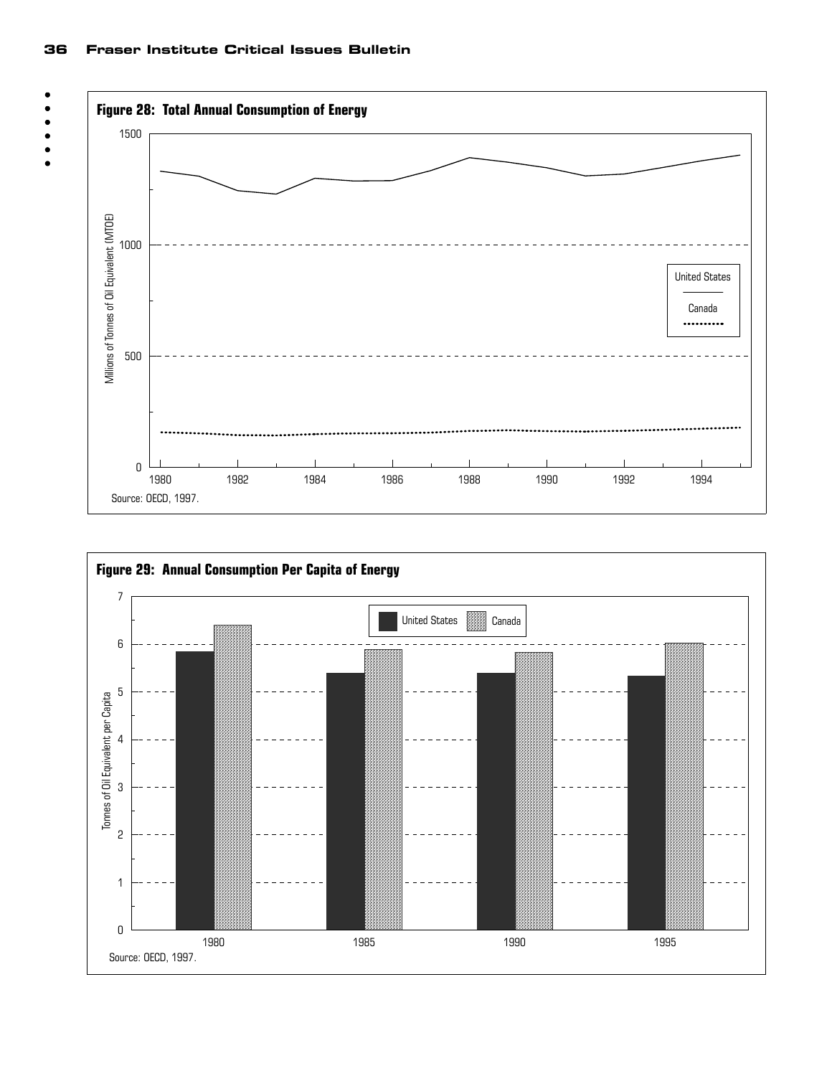#### 36 Fraser Institute Critical Issues Bulletin





 $\bullet$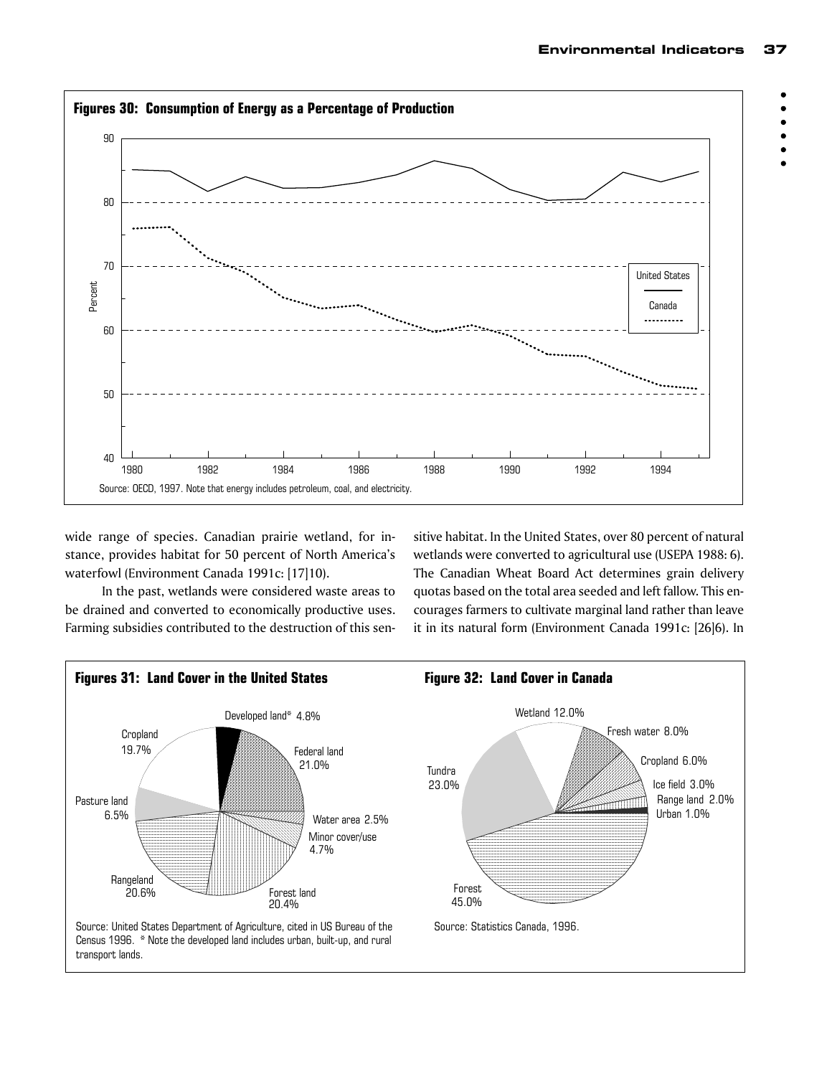$\bullet$  $\bullet$ 



wide range of species. Canadian prairie wetland, for instance, provides habitat for 50 percent of North America's waterfowl (Environment Canada 1991c: [17]10).

In the past, wetlands were considered waste areas to be drained and converted to economically productive uses. Farming subsidies contributed to the destruction of this sensitive habitat. In the United States, over 80 percent of natural wetlands were converted to agricultural use (USEPA 1988: 6). The Canadian Wheat Board Act determines grain delivery quotas based on the total area seeded and left fallow. This encourages farmers to cultivate marginal land rather than leave it in its natural form (Environment Canada 1991c: [26]6). In

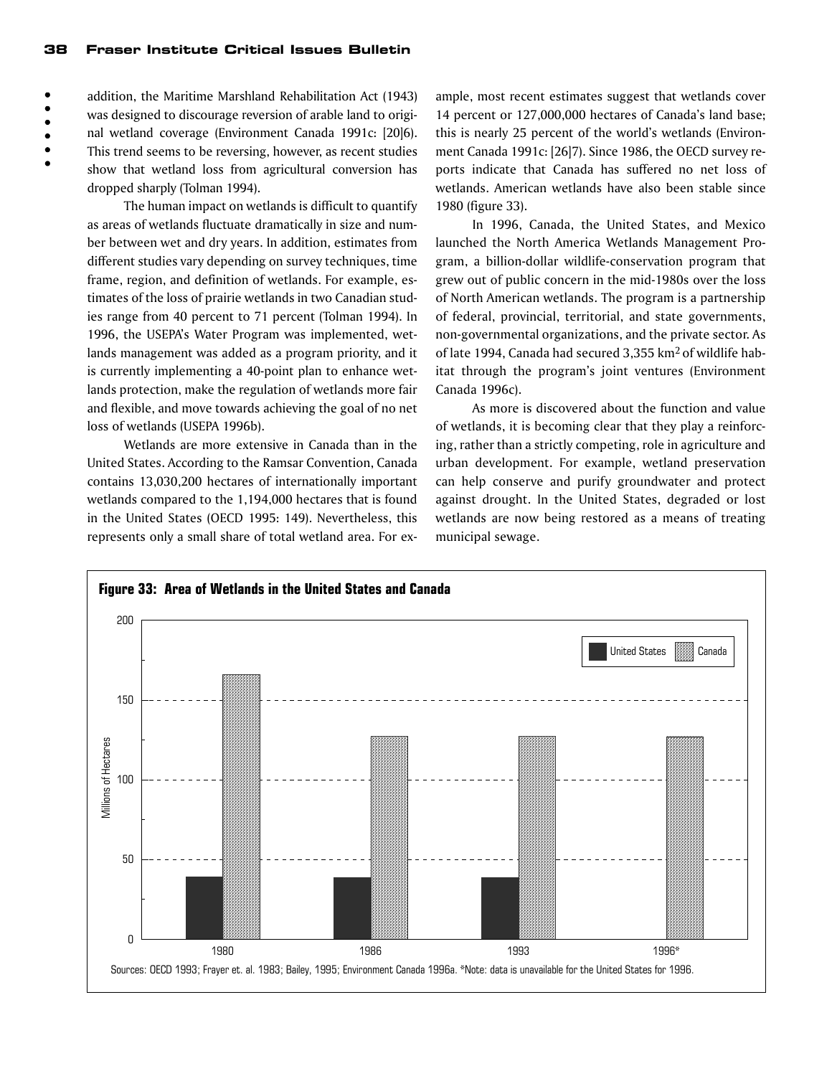$\bullet$  $\bullet$  $\bullet$  $\bullet$  addition, the Maritime Marshland Rehabilitation Act (1943) was designed to discourage reversion of arable land to original wetland coverage (Environment Canada 1991c: [20]6). This trend seems to be reversing, however, as recent studies show that wetland loss from agricultural conversion has dropped sharply (Tolman 1994).

The human impact on wetlands is difficult to quantify as areas of wetlands fluctuate dramatically in size and number between wet and dry years. In addition, estimates from different studies vary depending on survey techniques, time frame, region, and definition of wetlands. For example, estimates of the loss of prairie wetlands in two Canadian studies range from 40 percent to 71 percent (Tolman 1994). In 1996, the USEPA's Water Program was implemented, wetlands management was added as a program priority, and it is currently implementing a 40-point plan to enhance wetlands protection, make the regulation of wetlands more fair and flexible, and move towards achieving the goal of no net loss of wetlands (USEPA 1996b).

Wetlands are more extensive in Canada than in the United States. According to the Ramsar Convention, Canada contains 13,030,200 hectares of internationally important wetlands compared to the 1,194,000 hectares that is found in the United States (OECD 1995: 149). Nevertheless, this represents only a small share of total wetland area. For ex-

ample, most recent estimates suggest that wetlands cover 14 percent or 127,000,000 hectares of Canada's land base; this is nearly 25 percent of the world's wetlands (Environment Canada 1991c: [26]7). Since 1986, the OECD survey reports indicate that Canada has suffered no net loss of wetlands. American wetlands have also been stable since 1980 (figure 33).

In 1996, Canada, the United States, and Mexico launched the North America Wetlands Management Program, a billion-dollar wildlife-conservation program that grew out of public concern in the mid-1980s over the loss of North American wetlands. The program is a partnership of federal, provincial, territorial, and state governments, non-governmental organizations, and the private sector. As of late 1994, Canada had secured 3,355 km2 of wildlife habitat through the program's joint ventures (Environment Canada 1996c).

As more is discovered about the function and value of wetlands, it is becoming clear that they play a reinforcing, rather than a strictly competing, role in agriculture and urban development. For example, wetland preservation can help conserve and purify groundwater and protect against drought. In the United States, degraded or lost wetlands are now being restored as a means of treating municipal sewage.

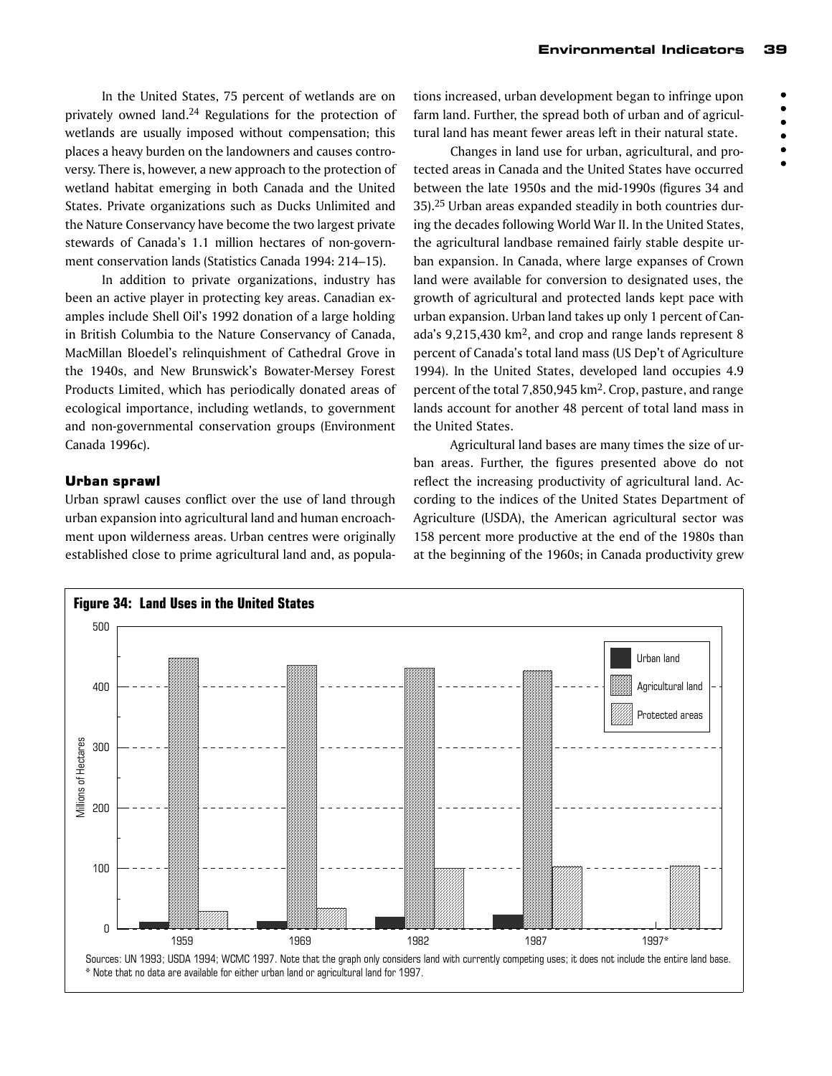$\bullet$  $\bullet$ 

 $\bullet$ 

In the United States, 75 percent of wetlands are on privately owned land.24 Regulations for the protection of wetlands are usually imposed without compensation; this places a heavy burden on the landowners and causes controversy. There is, however, a new approach to the protection of wetland habitat emerging in both Canada and the United States. Private organizations such as Ducks Unlimited and the Nature Conservancy have become the two largest private stewards of Canada's 1.1 million hectares of non-government conservation lands (Statistics Canada 1994: 214–15).

In addition to private organizations, industry has been an active player in protecting key areas. Canadian examples include Shell Oil's 1992 donation of a large holding in British Columbia to the Nature Conservancy of Canada, MacMillan Bloedel's relinquishment of Cathedral Grove in the 1940s, and New Brunswick's Bowater-Mersey Forest Products Limited, which has periodically donated areas of ecological importance, including wetlands, to government and non-governmental conservation groups (Environment Canada 1996c).

#### Urban sprawl

Urban sprawl causes conflict over the use of land through urban expansion into agricultural land and human encroachment upon wilderness areas. Urban centres were originally established close to prime agricultural land and, as populations increased, urban development began to infringe upon farm land. Further, the spread both of urban and of agricultural land has meant fewer areas left in their natural state.

Changes in land use for urban, agricultural, and protected areas in Canada and the United States have occurred between the late 1950s and the mid-1990s (figures 34 and 35).25 Urban areas expanded steadily in both countries during the decades following World War II. In the United States, the agricultural landbase remained fairly stable despite urban expansion. In Canada, where large expanses of Crown land were available for conversion to designated uses, the growth of agricultural and protected lands kept pace with urban expansion. Urban land takes up only 1 percent of Canada's 9,215,430 km2, and crop and range lands represent 8 percent of Canada's total land mass (US Dep't of Agriculture 1994). In the United States, developed land occupies 4.9 percent of the total 7,850,945 km2. Crop, pasture, and range lands account for another 48 percent of total land mass in the United States.

Agricultural land bases are many times the size of urban areas. Further, the figures presented above do not reflect the increasing productivity of agricultural land. According to the indices of the United States Department of Agriculture (USDA), the American agricultural sector was 158 percent more productive at the end of the 1980s than at the beginning of the 1960s; in Canada productivity grew

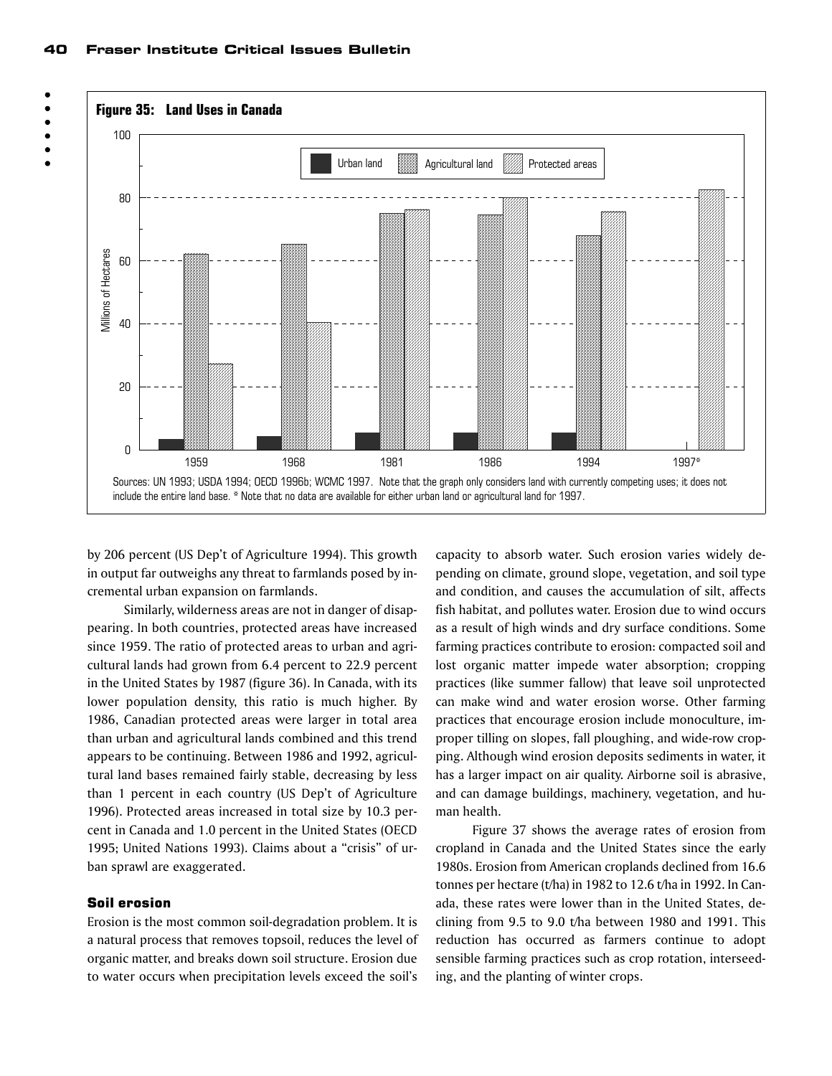



by 206 percent (US Dep't of Agriculture 1994). This growth in output far outweighs any threat to farmlands posed by incremental urban expansion on farmlands.

Similarly, wilderness areas are not in danger of disappearing. In both countries, protected areas have increased since 1959. The ratio of protected areas to urban and agricultural lands had grown from 6.4 percent to 22.9 percent in the United States by 1987 (figure 36). In Canada, with its lower population density, this ratio is much higher. By 1986, Canadian protected areas were larger in total area than urban and agricultural lands combined and this trend appears to be continuing. Between 1986 and 1992, agricultural land bases remained fairly stable, decreasing by less than 1 percent in each country (US Dep't of Agriculture 1996). Protected areas increased in total size by 10.3 percent in Canada and 1.0 percent in the United States (OECD 1995; United Nations 1993). Claims about a "crisis" of urban sprawl are exaggerated.

#### Soil erosion

Erosion is the most common soil-degradation problem. It is a natural process that removes topsoil, reduces the level of organic matter, and breaks down soil structure. Erosion due to water occurs when precipitation levels exceed the soil's

capacity to absorb water. Such erosion varies widely depending on climate, ground slope, vegetation, and soil type and condition, and causes the accumulation of silt, affects fish habitat, and pollutes water. Erosion due to wind occurs as a result of high winds and dry surface conditions. Some farming practices contribute to erosion: compacted soil and lost organic matter impede water absorption; cropping practices (like summer fallow) that leave soil unprotected can make wind and water erosion worse. Other farming practices that encourage erosion include monoculture, improper tilling on slopes, fall ploughing, and wide-row cropping. Although wind erosion deposits sediments in water, it has a larger impact on air quality. Airborne soil is abrasive, and can damage buildings, machinery, vegetation, and human health.

Figure 37 shows the average rates of erosion from cropland in Canada and the United States since the early 1980s. Erosion from American croplands declined from 16.6 tonnes per hectare (t/ha) in 1982 to 12.6 t/ha in 1992. In Canada, these rates were lower than in the United States, declining from 9.5 to 9.0 t/ha between 1980 and 1991. This reduction has occurred as farmers continue to adopt sensible farming practices such as crop rotation, interseeding, and the planting of winter crops.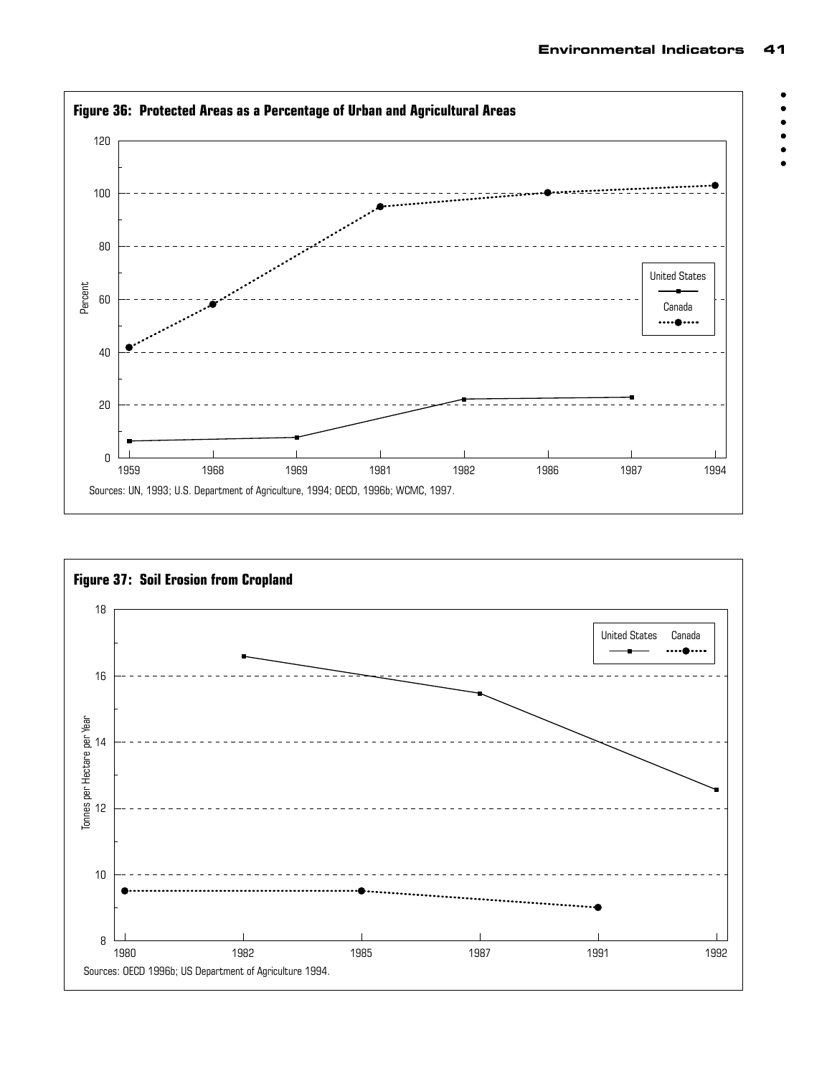$\bullet$  $\bullet$ 



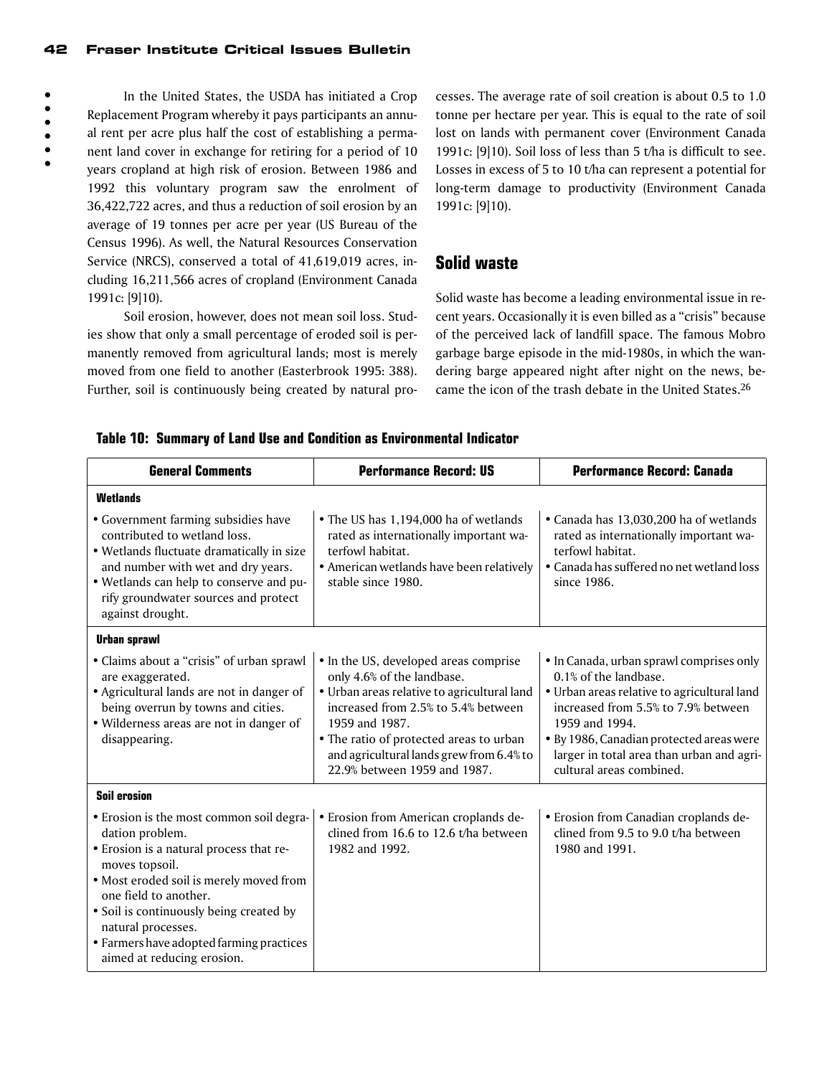#### 42 Fraser Institute Critical Issues Bulletin

In the United States, the USDA has initiated a Crop Replacement Program whereby it pays participants an annual rent per acre plus half the cost of establishing a permanent land cover in exchange for retiring for a period of 10 years cropland at high risk of erosion. Between 1986 and 1992 this voluntary program saw the enrolment of 36,422,722 acres, and thus a reduction of soil erosion by an average of 19 tonnes per acre per year (US Bureau of the Census 1996). As well, the Natural Resources Conservation Service (NRCS), conserved a total of 41,619,019 acres, including 16,211,566 acres of cropland (Environment Canada 1991c: [9]10).

Soil erosion, however, does not mean soil loss. Studies show that only a small percentage of eroded soil is permanently removed from agricultural lands; most is merely moved from one field to another (Easterbrook 1995: 388). Further, soil is continuously being created by natural processes. The average rate of soil creation is about 0.5 to 1.0 tonne per hectare per year. This is equal to the rate of soil lost on lands with permanent cover (Environment Canada 1991c: [9]10). Soil loss of less than 5 t/ha is difficult to see. Losses in excess of 5 to 10 t/ha can represent a potential for long-term damage to productivity (Environment Canada 1991c: [9]10).

# **Solid waste**

Solid waste has become a leading environmental issue in recent years. Occasionally it is even billed as a "crisis" because of the perceived lack of landfill space. The famous Mobro garbage barge episode in the mid-1980s, in which the wandering barge appeared night after night on the news, became the icon of the trash debate in the United States.26

#### **Table 10: Summary of Land Use and Condition as Environmental Indicator**

| <b>General Comments</b>                                                                                                                                                                                                                                                                                                                 | <b>Performance Record: US</b>                                                                                                                                                                                                                                                                      | <b>Performance Record: Canada</b>                                                                                                                                                                                                                                                              |  |
|-----------------------------------------------------------------------------------------------------------------------------------------------------------------------------------------------------------------------------------------------------------------------------------------------------------------------------------------|----------------------------------------------------------------------------------------------------------------------------------------------------------------------------------------------------------------------------------------------------------------------------------------------------|------------------------------------------------------------------------------------------------------------------------------------------------------------------------------------------------------------------------------------------------------------------------------------------------|--|
| <b>Wetlands</b>                                                                                                                                                                                                                                                                                                                         |                                                                                                                                                                                                                                                                                                    |                                                                                                                                                                                                                                                                                                |  |
| • Government farming subsidies have<br>contributed to wetland loss.<br>· Wetlands fluctuate dramatically in size<br>and number with wet and dry years.<br>• Wetlands can help to conserve and pu-<br>rify groundwater sources and protect<br>against drought.                                                                           | • The US has 1,194,000 ha of wetlands<br>rated as internationally important wa-<br>terfowl habitat.<br>• American wetlands have been relatively<br>stable since 1980.                                                                                                                              | • Canada has 13,030,200 ha of wetlands<br>rated as internationally important wa-<br>terfowl habitat.<br>• Canada has suffered no net wetland loss<br>since 1986.                                                                                                                               |  |
| <b>Urban sprawl</b>                                                                                                                                                                                                                                                                                                                     |                                                                                                                                                                                                                                                                                                    |                                                                                                                                                                                                                                                                                                |  |
| • Claims about a "crisis" of urban sprawl<br>are exaggerated.<br>• Agricultural lands are not in danger of<br>being overrun by towns and cities.<br>· Wilderness areas are not in danger of<br>disappearing.                                                                                                                            | • In the US, developed areas comprise<br>only 4.6% of the landbase.<br>• Urban areas relative to agricultural land<br>increased from 2.5% to 5.4% between<br>1959 and 1987.<br>• The ratio of protected areas to urban<br>and agricultural lands grew from 6.4% to<br>22.9% between 1959 and 1987. | • In Canada, urban sprawl comprises only<br>0.1% of the landbase.<br>• Urban areas relative to agricultural land<br>increased from 5.5% to 7.9% between<br>1959 and 1994.<br>· By 1986, Canadian protected areas were<br>larger in total area than urban and agri-<br>cultural areas combined. |  |
| <b>Soil erosion</b>                                                                                                                                                                                                                                                                                                                     |                                                                                                                                                                                                                                                                                                    |                                                                                                                                                                                                                                                                                                |  |
| • Erosion is the most common soil degra-<br>dation problem.<br>· Erosion is a natural process that re-<br>moves topsoil.<br>· Most eroded soil is merely moved from<br>one field to another.<br>• Soil is continuously being created by<br>natural processes.<br>• Farmers have adopted farming practices<br>aimed at reducing erosion. | • Erosion from American croplands de-<br>clined from 16.6 to 12.6 t/ha between<br>1982 and 1992.                                                                                                                                                                                                   | • Erosion from Canadian croplands de-<br>clined from 9.5 to 9.0 t/ha between<br>1980 and 1991.                                                                                                                                                                                                 |  |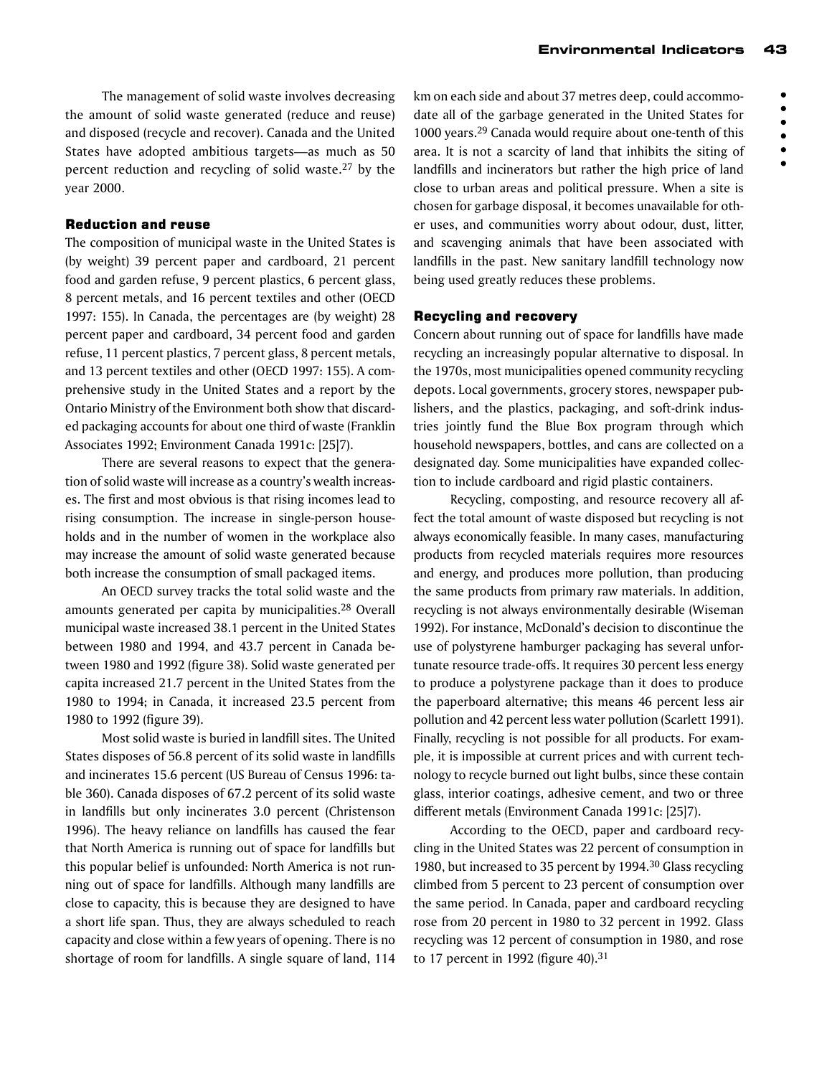The management of solid waste involves decreasing the amount of solid waste generated (reduce and reuse) and disposed (recycle and recover). Canada and the United States have adopted ambitious targets—as much as 50 percent reduction and recycling of solid waste.<sup>27</sup> by the year 2000.

# Reduction and reuse

The composition of municipal waste in the United States is (by weight) 39 percent paper and cardboard, 21 percent food and garden refuse, 9 percent plastics, 6 percent glass, 8 percent metals, and 16 percent textiles and other (OECD 1997: 155). In Canada, the percentages are (by weight) 28 percent paper and cardboard, 34 percent food and garden refuse, 11 percent plastics, 7 percent glass, 8 percent metals, and 13 percent textiles and other (OECD 1997: 155). A comprehensive study in the United States and a report by the Ontario Ministry of the Environment both show that discarded packaging accounts for about one third of waste (Franklin Associates 1992; Environment Canada 1991c: [25]7).

There are several reasons to expect that the generation of solid waste will increase as a country's wealth increases. The first and most obvious is that rising incomes lead to rising consumption. The increase in single-person households and in the number of women in the workplace also may increase the amount of solid waste generated because both increase the consumption of small packaged items.

An OECD survey tracks the total solid waste and the amounts generated per capita by municipalities.28 Overall municipal waste increased 38.1 percent in the United States between 1980 and 1994, and 43.7 percent in Canada between 1980 and 1992 (figure 38). Solid waste generated per capita increased 21.7 percent in the United States from the 1980 to 1994; in Canada, it increased 23.5 percent from 1980 to 1992 (figure 39).

Most solid waste is buried in landfill sites. The United States disposes of 56.8 percent of its solid waste in landfills and incinerates 15.6 percent (US Bureau of Census 1996: table 360). Canada disposes of 67.2 percent of its solid waste in landfills but only incinerates 3.0 percent (Christenson 1996). The heavy reliance on landfills has caused the fear that North America is running out of space for landfills but this popular belief is unfounded: North America is not running out of space for landfills. Although many landfills are close to capacity, this is because they are designed to have a short life span. Thus, they are always scheduled to reach capacity and close within a few years of opening. There is no shortage of room for landfills. A single square of land, 114 km on each side and about 37 metres deep, could accommodate all of the garbage generated in the United States for 1000 years.29 Canada would require about one-tenth of this area. It is not a scarcity of land that inhibits the siting of landfills and incinerators but rather the high price of land close to urban areas and political pressure. When a site is chosen for garbage disposal, it becomes unavailable for other uses, and communities worry about odour, dust, litter, and scavenging animals that have been associated with landfills in the past. New sanitary landfill technology now being used greatly reduces these problems.

#### Recycling and recovery

Concern about running out of space for landfills have made recycling an increasingly popular alternative to disposal. In the 1970s, most municipalities opened community recycling depots. Local governments, grocery stores, newspaper publishers, and the plastics, packaging, and soft-drink industries jointly fund the Blue Box program through which household newspapers, bottles, and cans are collected on a designated day. Some municipalities have expanded collection to include cardboard and rigid plastic containers.

Recycling, composting, and resource recovery all affect the total amount of waste disposed but recycling is not always economically feasible. In many cases, manufacturing products from recycled materials requires more resources and energy, and produces more pollution, than producing the same products from primary raw materials. In addition, recycling is not always environmentally desirable (Wiseman 1992). For instance, McDonald's decision to discontinue the use of polystyrene hamburger packaging has several unfortunate resource trade-offs. It requires 30 percent less energy to produce a polystyrene package than it does to produce the paperboard alternative; this means 46 percent less air pollution and 42 percent less water pollution (Scarlett 1991). Finally, recycling is not possible for all products. For example, it is impossible at current prices and with current technology to recycle burned out light bulbs, since these contain glass, interior coatings, adhesive cement, and two or three different metals (Environment Canada 1991c: [25]7).

According to the OECD, paper and cardboard recycling in the United States was 22 percent of consumption in 1980, but increased to 35 percent by 1994.<sup>30</sup> Glass recycling climbed from 5 percent to 23 percent of consumption over the same period. In Canada, paper and cardboard recycling rose from 20 percent in 1980 to 32 percent in 1992. Glass recycling was 12 percent of consumption in 1980, and rose to 17 percent in 1992 (figure 40).<sup>31</sup>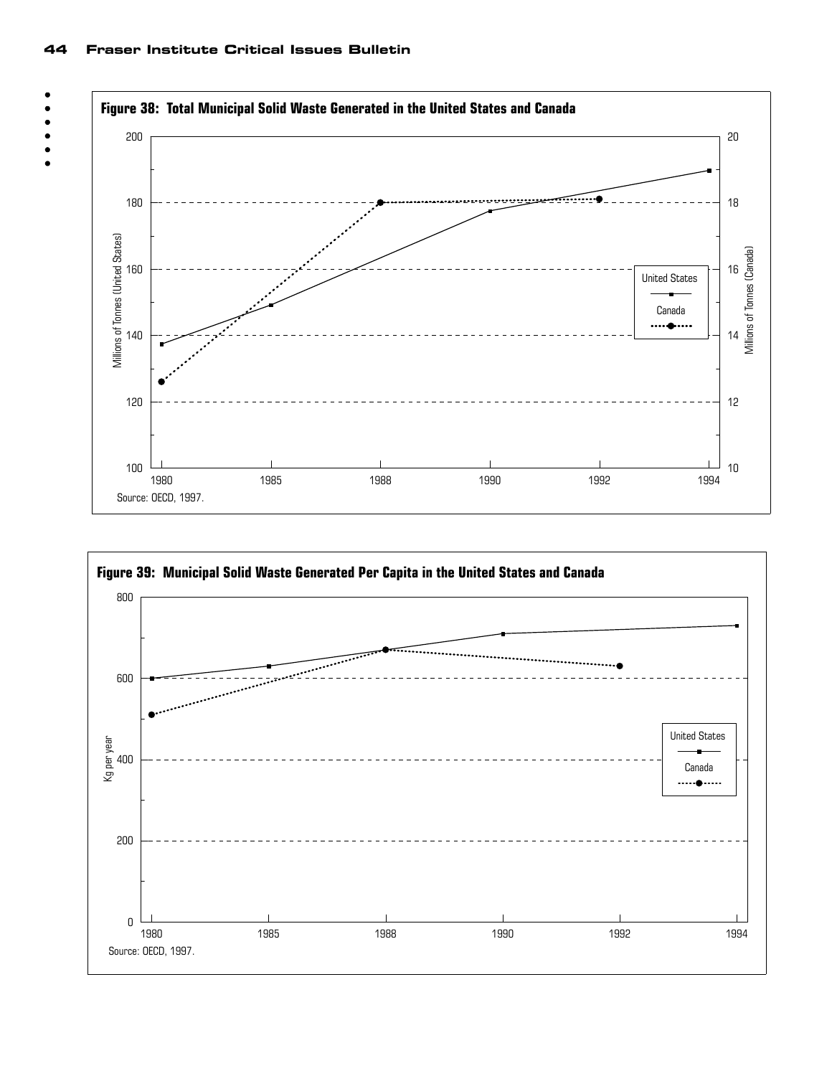